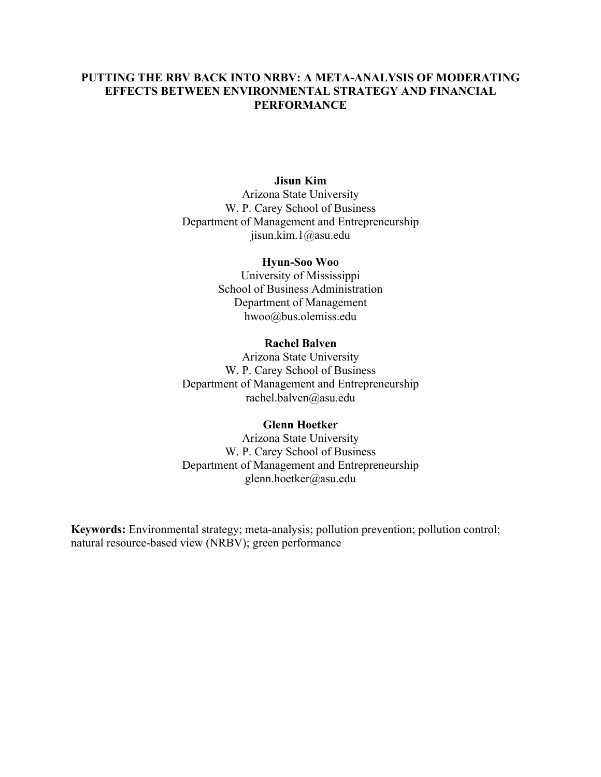# **PUTTING THE RBV BACK INTO NRBV: A META-ANALYSIS OF MODERATING EFFECTS BETWEEN ENVIRONMENTAL STRATEGY AND FINANCIAL PERFORMANCE**

# **Jisun Kim**

Arizona State University W. P. Carey School of Business Department of Management and Entrepreneurship jisun.kim.1@asu.edu

#### **Hyun-Soo Woo**

University of Mississippi School of Business Administration Department of Management hwoo@bus.olemiss.edu

#### **Rachel Balven**

Arizona State University W. P. Carey School of Business Department of Management and Entrepreneurship rachel.balven@asu.edu

### **Glenn Hoetker**

Arizona State University W. P. Carey School of Business Department of Management and Entrepreneurship glenn.hoetker@asu.edu

**Keywords:** Environmental strategy; meta-analysis; pollution prevention; pollution control; natural resource-based view (NRBV); green performance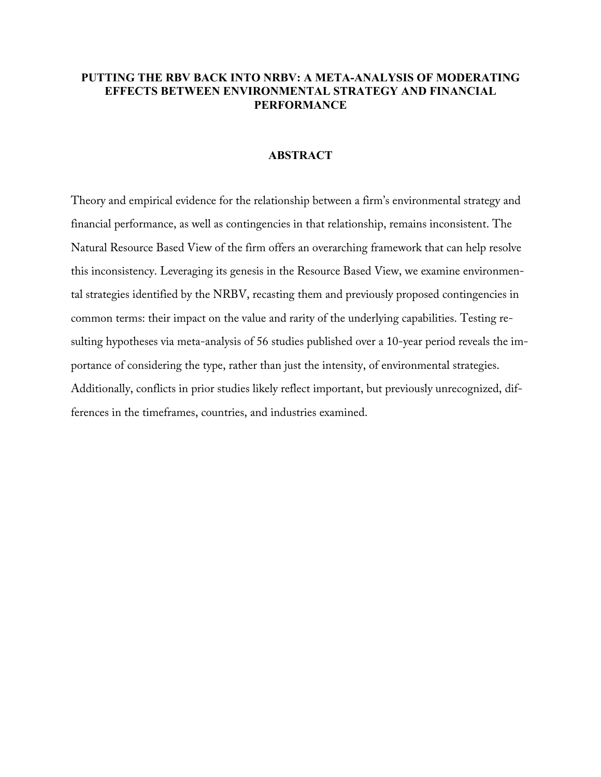# **PUTTING THE RBV BACK INTO NRBV: A META-ANALYSIS OF MODERATING EFFECTS BETWEEN ENVIRONMENTAL STRATEGY AND FINANCIAL PERFORMANCE**

### **ABSTRACT**

Theory and empirical evidence for the relationship between a firm's environmental strategy and financial performance, as well as contingencies in that relationship, remains inconsistent. The Natural Resource Based View of the firm offers an overarching framework that can help resolve this inconsistency. Leveraging its genesis in the Resource Based View, we examine environmental strategies identified by the NRBV, recasting them and previously proposed contingencies in common terms: their impact on the value and rarity of the underlying capabilities. Testing resulting hypotheses via meta-analysis of 56 studies published over a 10-year period reveals the importance of considering the type, rather than just the intensity, of environmental strategies. Additionally, conflicts in prior studies likely reflect important, but previously unrecognized, differences in the timeframes, countries, and industries examined.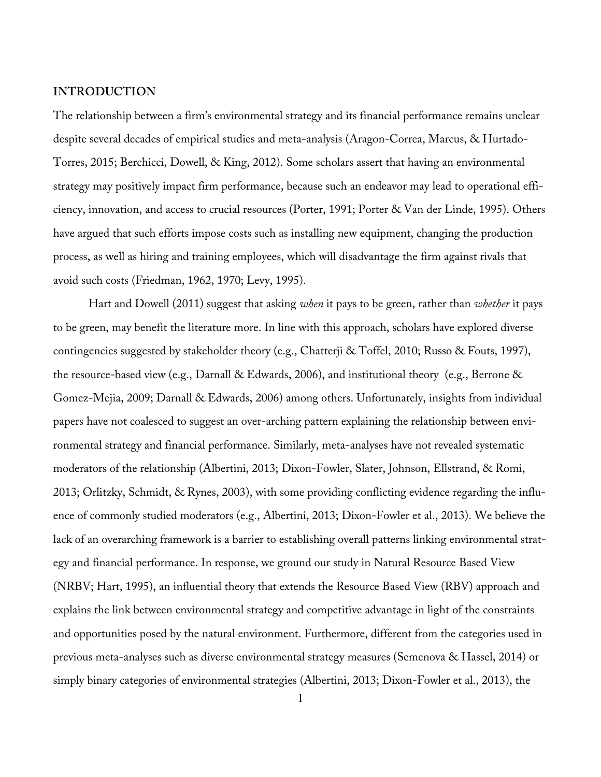## **INTRODUCTION**

The relationship between a firm's environmental strategy and its financial performance remains unclear despite several decades of empirical studies and meta-analysis (Aragon-Correa, Marcus, & Hurtado-Torres, 2015; Berchicci, Dowell, & King, 2012). Some scholars assert that having an environmental strategy may positively impact firm performance, because such an endeavor may lead to operational efficiency, innovation, and access to crucial resources (Porter, 1991; Porter & Van der Linde, 1995). Others have argued that such efforts impose costs such as installing new equipment, changing the production process, as well as hiring and training employees, which will disadvantage the firm against rivals that avoid such costs (Friedman, 1962, 1970; Levy, 1995).

Hart and Dowell (2011) suggest that asking *when* it pays to be green, rather than *whether* it pays to be green, may benefit the literature more. In line with this approach, scholars have explored diverse contingencies suggested by stakeholder theory (e.g., Chatterji & Toffel, 2010; Russo & Fouts, 1997), the resource-based view (e.g., Darnall & Edwards, 2006), and institutional theory (e.g., Berrone & Gomez-Mejia, 2009; Darnall & Edwards, 2006) among others. Unfortunately, insights from individual papers have not coalesced to suggest an over-arching pattern explaining the relationship between environmental strategy and financial performance. Similarly, meta-analyses have not revealed systematic moderators of the relationship (Albertini, 2013; Dixon-Fowler, Slater, Johnson, Ellstrand, & Romi, 2013; Orlitzky, Schmidt, & Rynes, 2003), with some providing conflicting evidence regarding the influence of commonly studied moderators (e.g., Albertini, 2013; Dixon-Fowler et al., 2013). We believe the lack of an overarching framework is a barrier to establishing overall patterns linking environmental strategy and financial performance. In response, we ground our study in Natural Resource Based View (NRBV; Hart, 1995), an influential theory that extends the Resource Based View (RBV) approach and explains the link between environmental strategy and competitive advantage in light of the constraints and opportunities posed by the natural environment. Furthermore, different from the categories used in previous meta-analyses such as diverse environmental strategy measures (Semenova & Hassel, 2014) or simply binary categories of environmental strategies (Albertini, 2013; Dixon-Fowler et al., 2013), the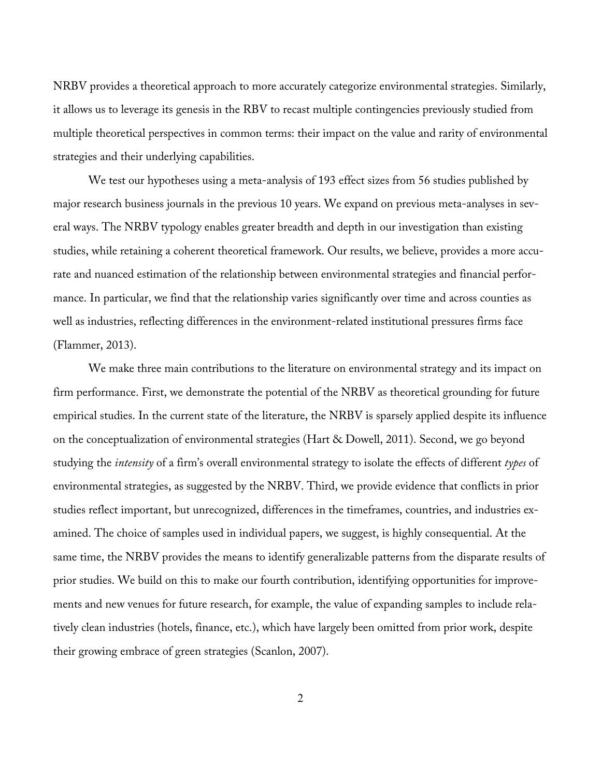NRBV provides a theoretical approach to more accurately categorize environmental strategies. Similarly, it allows us to leverage its genesis in the RBV to recast multiple contingencies previously studied from multiple theoretical perspectives in common terms: their impact on the value and rarity of environmental strategies and their underlying capabilities.

We test our hypotheses using a meta-analysis of 193 effect sizes from 56 studies published by major research business journals in the previous 10 years. We expand on previous meta-analyses in several ways. The NRBV typology enables greater breadth and depth in our investigation than existing studies, while retaining a coherent theoretical framework. Our results, we believe, provides a more accurate and nuanced estimation of the relationship between environmental strategies and financial performance. In particular, we find that the relationship varies significantly over time and across counties as well as industries, reflecting differences in the environment-related institutional pressures firms face (Flammer, 2013).

We make three main contributions to the literature on environmental strategy and its impact on firm performance. First, we demonstrate the potential of the NRBV as theoretical grounding for future empirical studies. In the current state of the literature, the NRBV is sparsely applied despite its influence on the conceptualization of environmental strategies (Hart & Dowell, 2011). Second, we go beyond studying the *intensity* of a firm's overall environmental strategy to isolate the effects of different *types* of environmental strategies, as suggested by the NRBV. Third, we provide evidence that conflicts in prior studies reflect important, but unrecognized, differences in the timeframes, countries, and industries examined. The choice of samples used in individual papers, we suggest, is highly consequential. At the same time, the NRBV provides the means to identify generalizable patterns from the disparate results of prior studies. We build on this to make our fourth contribution, identifying opportunities for improvements and new venues for future research, for example, the value of expanding samples to include relatively clean industries (hotels, finance, etc.), which have largely been omitted from prior work, despite their growing embrace of green strategies (Scanlon, 2007).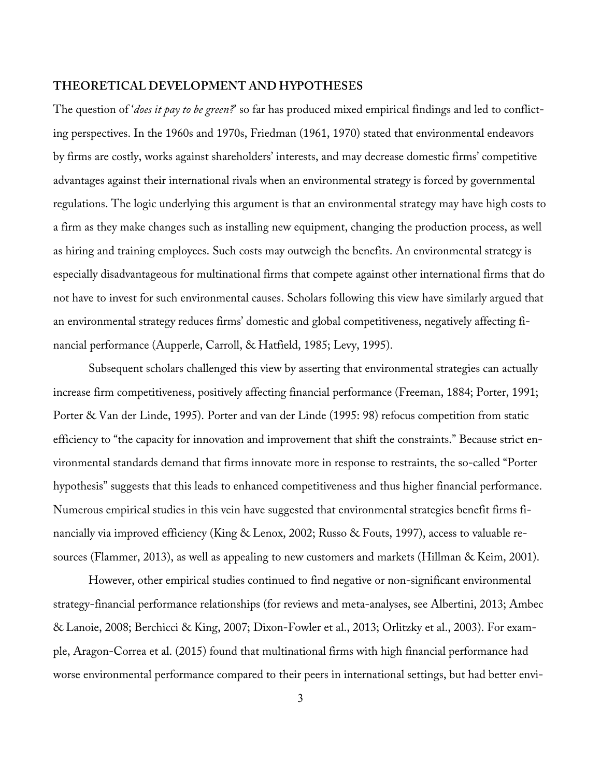# **THEORETICAL DEVELOPMENT AND HYPOTHESES**

The question of '*does it pay to be green?*' so far has produced mixed empirical findings and led to conflicting perspectives. In the 1960s and 1970s, Friedman (1961, 1970) stated that environmental endeavors by firms are costly, works against shareholders' interests, and may decrease domestic firms' competitive advantages against their international rivals when an environmental strategy is forced by governmental regulations. The logic underlying this argument is that an environmental strategy may have high costs to a firm as they make changes such as installing new equipment, changing the production process, as well as hiring and training employees. Such costs may outweigh the benefits. An environmental strategy is especially disadvantageous for multinational firms that compete against other international firms that do not have to invest for such environmental causes. Scholars following this view have similarly argued that an environmental strategy reduces firms' domestic and global competitiveness, negatively affecting financial performance (Aupperle, Carroll, & Hatfield, 1985; Levy, 1995).

Subsequent scholars challenged this view by asserting that environmental strategies can actually increase firm competitiveness, positively affecting financial performance (Freeman, 1884; Porter, 1991; Porter & Van der Linde, 1995). Porter and van der Linde (1995: 98) refocus competition from static efficiency to "the capacity for innovation and improvement that shift the constraints." Because strict environmental standards demand that firms innovate more in response to restraints, the so-called "Porter hypothesis" suggests that this leads to enhanced competitiveness and thus higher financial performance. Numerous empirical studies in this vein have suggested that environmental strategies benefit firms financially via improved efficiency (King & Lenox, 2002; Russo & Fouts, 1997), access to valuable resources (Flammer, 2013), as well as appealing to new customers and markets (Hillman & Keim, 2001).

However, other empirical studies continued to find negative or non-significant environmental strategy-financial performance relationships (for reviews and meta-analyses, see Albertini, 2013; Ambec & Lanoie, 2008; Berchicci & King, 2007; Dixon-Fowler et al., 2013; Orlitzky et al., 2003). For example, Aragon-Correa et al. (2015) found that multinational firms with high financial performance had worse environmental performance compared to their peers in international settings, but had better envi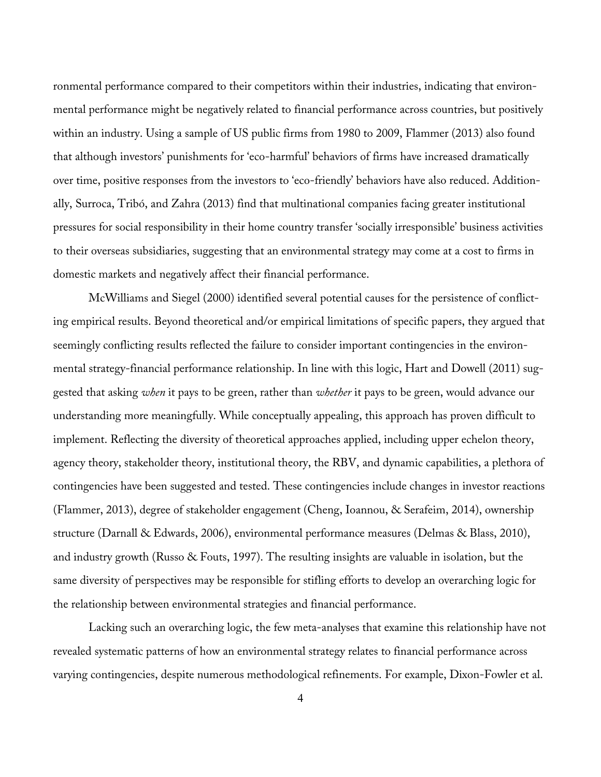ronmental performance compared to their competitors within their industries, indicating that environmental performance might be negatively related to financial performance across countries, but positively within an industry. Using a sample of US public firms from 1980 to 2009, Flammer (2013) also found that although investors' punishments for 'eco-harmful' behaviors of firms have increased dramatically over time, positive responses from the investors to 'eco-friendly' behaviors have also reduced. Additionally, Surroca, Tribó, and Zahra (2013) find that multinational companies facing greater institutional pressures for social responsibility in their home country transfer 'socially irresponsible' business activities to their overseas subsidiaries, suggesting that an environmental strategy may come at a cost to firms in domestic markets and negatively affect their financial performance.

McWilliams and Siegel (2000) identified several potential causes for the persistence of conflicting empirical results. Beyond theoretical and/or empirical limitations of specific papers, they argued that seemingly conflicting results reflected the failure to consider important contingencies in the environmental strategy-financial performance relationship. In line with this logic, Hart and Dowell (2011) suggested that asking *when* it pays to be green, rather than *whether* it pays to be green, would advance our understanding more meaningfully. While conceptually appealing, this approach has proven difficult to implement. Reflecting the diversity of theoretical approaches applied, including upper echelon theory, agency theory, stakeholder theory, institutional theory, the RBV, and dynamic capabilities, a plethora of contingencies have been suggested and tested. These contingencies include changes in investor reactions (Flammer, 2013), degree of stakeholder engagement (Cheng, Ioannou, & Serafeim, 2014), ownership structure (Darnall & Edwards, 2006), environmental performance measures (Delmas & Blass, 2010), and industry growth (Russo & Fouts, 1997). The resulting insights are valuable in isolation, but the same diversity of perspectives may be responsible for stifling efforts to develop an overarching logic for the relationship between environmental strategies and financial performance.

Lacking such an overarching logic, the few meta-analyses that examine this relationship have not revealed systematic patterns of how an environmental strategy relates to financial performance across varying contingencies, despite numerous methodological refinements. For example, Dixon-Fowler et al.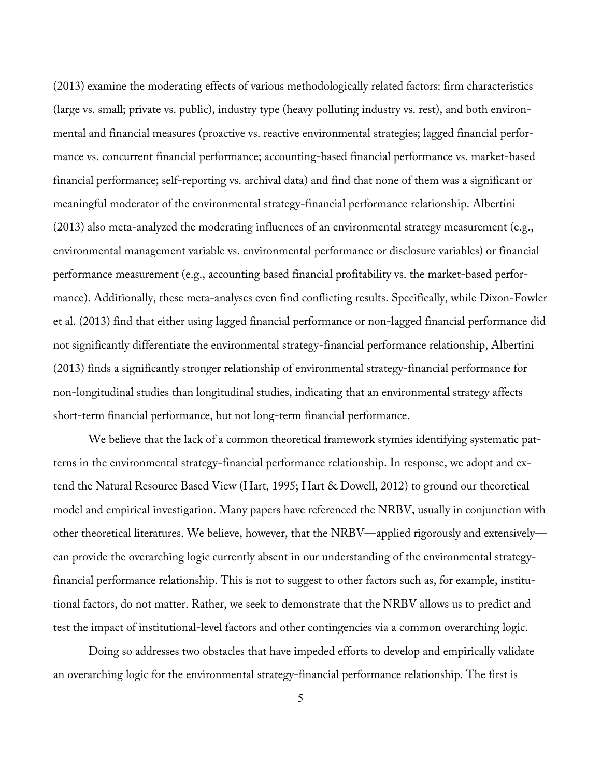(2013) examine the moderating effects of various methodologically related factors: firm characteristics (large vs. small; private vs. public), industry type (heavy polluting industry vs. rest), and both environmental and financial measures (proactive vs. reactive environmental strategies; lagged financial performance vs. concurrent financial performance; accounting-based financial performance vs. market-based financial performance; self-reporting vs. archival data) and find that none of them was a significant or meaningful moderator of the environmental strategy-financial performance relationship. Albertini (2013) also meta-analyzed the moderating influences of an environmental strategy measurement (e.g., environmental management variable vs. environmental performance or disclosure variables) or financial performance measurement (e.g., accounting based financial profitability vs. the market-based performance). Additionally, these meta-analyses even find conflicting results. Specifically, while Dixon-Fowler et al. (2013) find that either using lagged financial performance or non-lagged financial performance did not significantly differentiate the environmental strategy-financial performance relationship, Albertini (2013) finds a significantly stronger relationship of environmental strategy-financial performance for non-longitudinal studies than longitudinal studies, indicating that an environmental strategy affects short-term financial performance, but not long-term financial performance.

We believe that the lack of a common theoretical framework stymies identifying systematic patterns in the environmental strategy-financial performance relationship. In response, we adopt and extend the Natural Resource Based View (Hart, 1995; Hart & Dowell, 2012) to ground our theoretical model and empirical investigation. Many papers have referenced the NRBV, usually in conjunction with other theoretical literatures. We believe, however, that the NRBV—applied rigorously and extensively can provide the overarching logic currently absent in our understanding of the environmental strategyfinancial performance relationship. This is not to suggest to other factors such as, for example, institutional factors, do not matter. Rather, we seek to demonstrate that the NRBV allows us to predict and test the impact of institutional-level factors and other contingencies via a common overarching logic.

Doing so addresses two obstacles that have impeded efforts to develop and empirically validate an overarching logic for the environmental strategy-financial performance relationship. The first is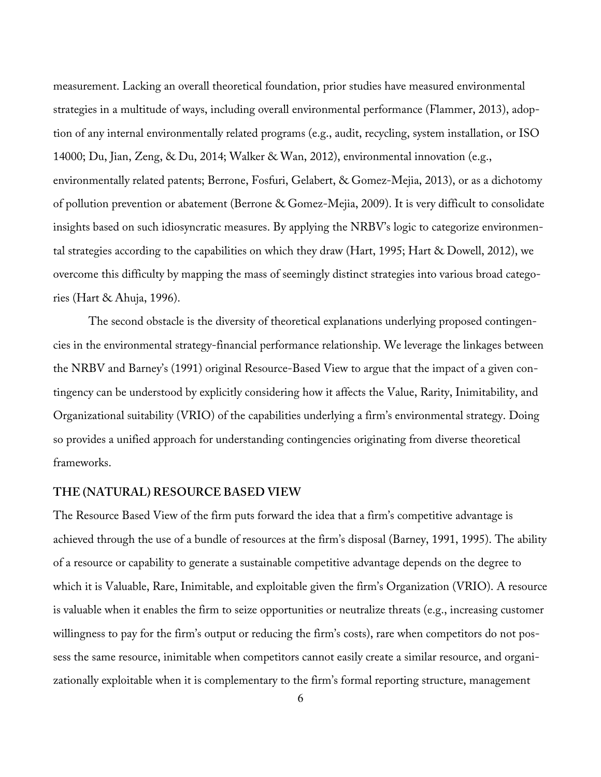measurement. Lacking an overall theoretical foundation, prior studies have measured environmental strategies in a multitude of ways, including overall environmental performance (Flammer, 2013), adoption of any internal environmentally related programs (e.g., audit, recycling, system installation, or ISO 14000; Du, Jian, Zeng, & Du, 2014; Walker & Wan, 2012), environmental innovation (e.g., environmentally related patents; Berrone, Fosfuri, Gelabert, & Gomez-Mejia, 2013), or as a dichotomy of pollution prevention or abatement (Berrone & Gomez-Mejia, 2009). It is very difficult to consolidate insights based on such idiosyncratic measures. By applying the NRBV's logic to categorize environmental strategies according to the capabilities on which they draw (Hart, 1995; Hart & Dowell, 2012), we overcome this difficulty by mapping the mass of seemingly distinct strategies into various broad categories (Hart & Ahuja, 1996).

The second obstacle is the diversity of theoretical explanations underlying proposed contingencies in the environmental strategy-financial performance relationship. We leverage the linkages between the NRBV and Barney's (1991) original Resource-Based View to argue that the impact of a given contingency can be understood by explicitly considering how it affects the Value, Rarity, Inimitability, and Organizational suitability (VRIO) of the capabilities underlying a firm's environmental strategy. Doing so provides a unified approach for understanding contingencies originating from diverse theoretical frameworks.

# **THE (NATURAL) RESOURCE BASED VIEW**

The Resource Based View of the firm puts forward the idea that a firm's competitive advantage is achieved through the use of a bundle of resources at the firm's disposal (Barney, 1991, 1995). The ability of a resource or capability to generate a sustainable competitive advantage depends on the degree to which it is Valuable, Rare, Inimitable, and exploitable given the firm's Organization (VRIO). A resource is valuable when it enables the firm to seize opportunities or neutralize threats (e.g., increasing customer willingness to pay for the firm's output or reducing the firm's costs), rare when competitors do not possess the same resource, inimitable when competitors cannot easily create a similar resource, and organizationally exploitable when it is complementary to the firm's formal reporting structure, management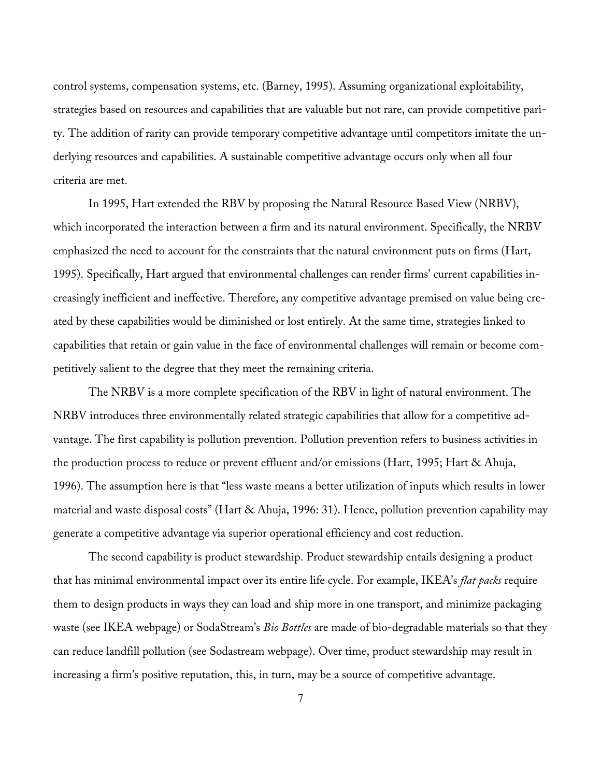control systems, compensation systems, etc. (Barney, 1995). Assuming organizational exploitability, strategies based on resources and capabilities that are valuable but not rare, can provide competitive parity. The addition of rarity can provide temporary competitive advantage until competitors imitate the underlying resources and capabilities. A sustainable competitive advantage occurs only when all four criteria are met.

In 1995, Hart extended the RBV by proposing the Natural Resource Based View (NRBV), which incorporated the interaction between a firm and its natural environment. Specifically, the NRBV emphasized the need to account for the constraints that the natural environment puts on firms (Hart, 1995). Specifically, Hart argued that environmental challenges can render firms' current capabilities increasingly inefficient and ineffective. Therefore, any competitive advantage premised on value being created by these capabilities would be diminished or lost entirely. At the same time, strategies linked to capabilities that retain or gain value in the face of environmental challenges will remain or become competitively salient to the degree that they meet the remaining criteria.

The NRBV is a more complete specification of the RBV in light of natural environment. The NRBV introduces three environmentally related strategic capabilities that allow for a competitive advantage. The first capability is pollution prevention. Pollution prevention refers to business activities in the production process to reduce or prevent effluent and/or emissions (Hart, 1995; Hart & Ahuja, 1996). The assumption here is that "less waste means a better utilization of inputs which results in lower material and waste disposal costs" (Hart & Ahuja, 1996: 31). Hence, pollution prevention capability may generate a competitive advantage via superior operational efficiency and cost reduction.

The second capability is product stewardship. Product stewardship entails designing a product that has minimal environmental impact over its entire life cycle. For example, IKEA's *flat packs* require them to design products in ways they can load and ship more in one transport, and minimize packaging waste (see IKEA webpage) or SodaStream's *Bio Bottles* are made of bio-degradable materials so that they can reduce landfill pollution (see Sodastream webpage). Over time, product stewardship may result in increasing a firm's positive reputation, this, in turn, may be a source of competitive advantage.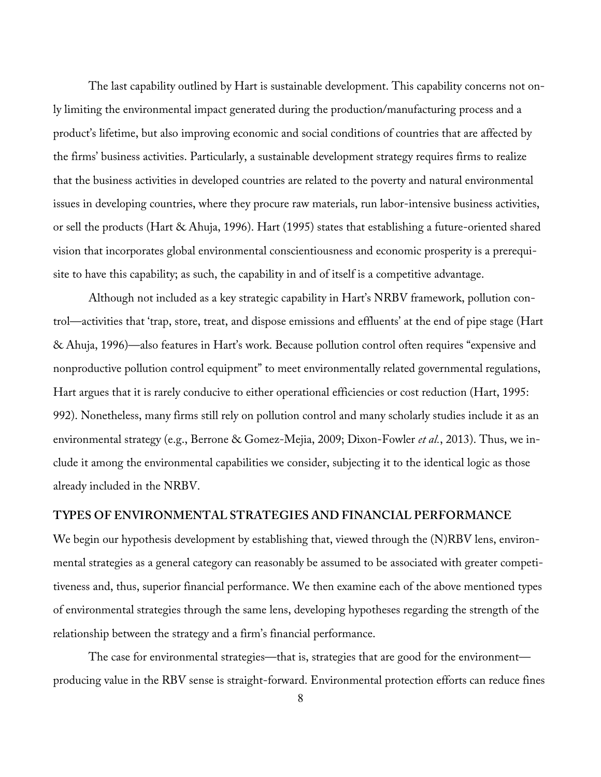The last capability outlined by Hart is sustainable development. This capability concerns not only limiting the environmental impact generated during the production/manufacturing process and a product's lifetime, but also improving economic and social conditions of countries that are affected by the firms' business activities. Particularly, a sustainable development strategy requires firms to realize that the business activities in developed countries are related to the poverty and natural environmental issues in developing countries, where they procure raw materials, run labor-intensive business activities, or sell the products (Hart & Ahuja, 1996). Hart (1995) states that establishing a future-oriented shared vision that incorporates global environmental conscientiousness and economic prosperity is a prerequisite to have this capability; as such, the capability in and of itself is a competitive advantage.

Although not included as a key strategic capability in Hart's NRBV framework, pollution control—activities that 'trap, store, treat, and dispose emissions and effluents' at the end of pipe stage (Hart & Ahuja, 1996)—also features in Hart's work. Because pollution control often requires "expensive and nonproductive pollution control equipment" to meet environmentally related governmental regulations, Hart argues that it is rarely conducive to either operational efficiencies or cost reduction (Hart, 1995: 992). Nonetheless, many firms still rely on pollution control and many scholarly studies include it as an environmental strategy (e.g., Berrone & Gomez-Mejia, 2009; Dixon-Fowler *et al.*, 2013). Thus, we include it among the environmental capabilities we consider, subjecting it to the identical logic as those already included in the NRBV.

#### **TYPES OF ENVIRONMENTAL STRATEGIES AND FINANCIAL PERFORMANCE**

We begin our hypothesis development by establishing that, viewed through the (N)RBV lens, environmental strategies as a general category can reasonably be assumed to be associated with greater competitiveness and, thus, superior financial performance. We then examine each of the above mentioned types of environmental strategies through the same lens, developing hypotheses regarding the strength of the relationship between the strategy and a firm's financial performance.

The case for environmental strategies—that is, strategies that are good for the environment producing value in the RBV sense is straight-forward. Environmental protection efforts can reduce fines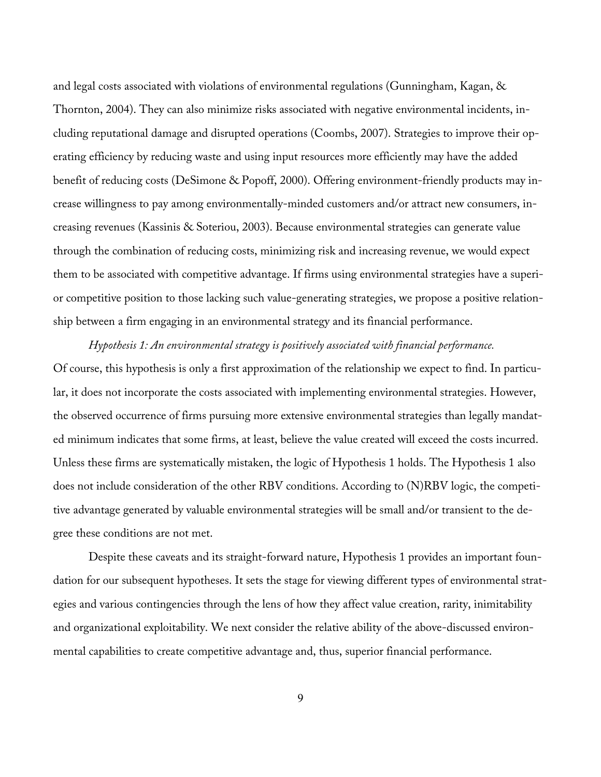and legal costs associated with violations of environmental regulations (Gunningham, Kagan, & Thornton, 2004). They can also minimize risks associated with negative environmental incidents, including reputational damage and disrupted operations (Coombs, 2007). Strategies to improve their operating efficiency by reducing waste and using input resources more efficiently may have the added benefit of reducing costs (DeSimone & Popoff, 2000). Offering environment-friendly products may increase willingness to pay among environmentally-minded customers and/or attract new consumers, increasing revenues (Kassinis & Soteriou, 2003). Because environmental strategies can generate value through the combination of reducing costs, minimizing risk and increasing revenue, we would expect them to be associated with competitive advantage. If firms using environmental strategies have a superior competitive position to those lacking such value-generating strategies, we propose a positive relationship between a firm engaging in an environmental strategy and its financial performance.

*Hypothesis 1: An environmental strategy is positively associated with financial performance.* Of course, this hypothesis is only a first approximation of the relationship we expect to find. In particular, it does not incorporate the costs associated with implementing environmental strategies. However, the observed occurrence of firms pursuing more extensive environmental strategies than legally mandated minimum indicates that some firms, at least, believe the value created will exceed the costs incurred. Unless these firms are systematically mistaken, the logic of Hypothesis 1 holds. The Hypothesis 1 also does not include consideration of the other RBV conditions. According to (N)RBV logic, the competitive advantage generated by valuable environmental strategies will be small and/or transient to the degree these conditions are not met.

Despite these caveats and its straight-forward nature, Hypothesis 1 provides an important foundation for our subsequent hypotheses. It sets the stage for viewing different types of environmental strategies and various contingencies through the lens of how they affect value creation, rarity, inimitability and organizational exploitability. We next consider the relative ability of the above-discussed environmental capabilities to create competitive advantage and, thus, superior financial performance.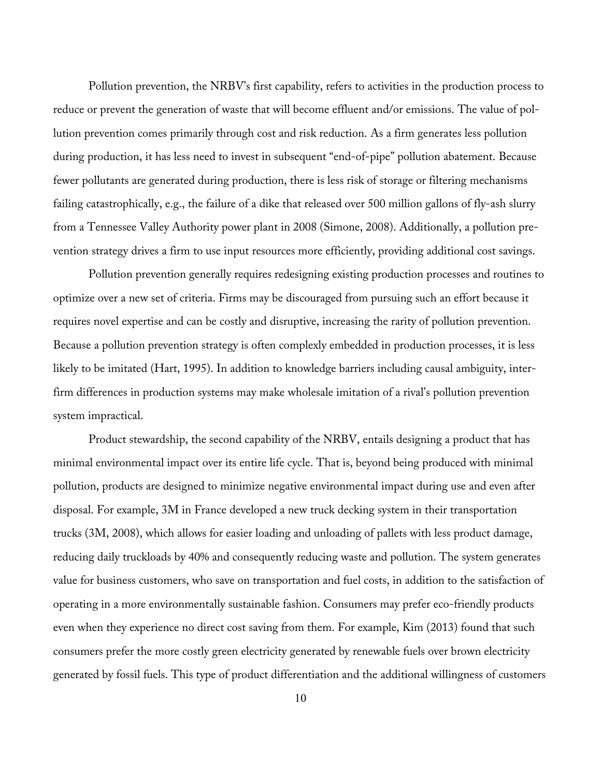Pollution prevention, the NRBV's first capability, refers to activities in the production process to reduce or prevent the generation of waste that will become effluent and/or emissions. The value of pollution prevention comes primarily through cost and risk reduction. As a firm generates less pollution during production, it has less need to invest in subsequent "end-of-pipe" pollution abatement. Because fewer pollutants are generated during production, there is less risk of storage or filtering mechanisms failing catastrophically, e.g., the failure of a dike that released over 500 million gallons of fly-ash slurry from a Tennessee Valley Authority power plant in 2008 (Simone, 2008). Additionally, a pollution prevention strategy drives a firm to use input resources more efficiently, providing additional cost savings.

Pollution prevention generally requires redesigning existing production processes and routines to optimize over a new set of criteria. Firms may be discouraged from pursuing such an effort because it requires novel expertise and can be costly and disruptive, increasing the rarity of pollution prevention. Because a pollution prevention strategy is often complexly embedded in production processes, it is less likely to be imitated (Hart, 1995). In addition to knowledge barriers including causal ambiguity, interfirm differences in production systems may make wholesale imitation of a rival's pollution prevention system impractical.

Product stewardship, the second capability of the NRBV, entails designing a product that has minimal environmental impact over its entire life cycle. That is, beyond being produced with minimal pollution, products are designed to minimize negative environmental impact during use and even after disposal. For example, 3M in France developed a new truck decking system in their transportation trucks (3M, 2008), which allows for easier loading and unloading of pallets with less product damage, reducing daily truckloads by 40% and consequently reducing waste and pollution. The system generates value for business customers, who save on transportation and fuel costs, in addition to the satisfaction of operating in a more environmentally sustainable fashion. Consumers may prefer eco-friendly products even when they experience no direct cost saving from them. For example, Kim (2013) found that such consumers prefer the more costly green electricity generated by renewable fuels over brown electricity generated by fossil fuels. This type of product differentiation and the additional willingness of customers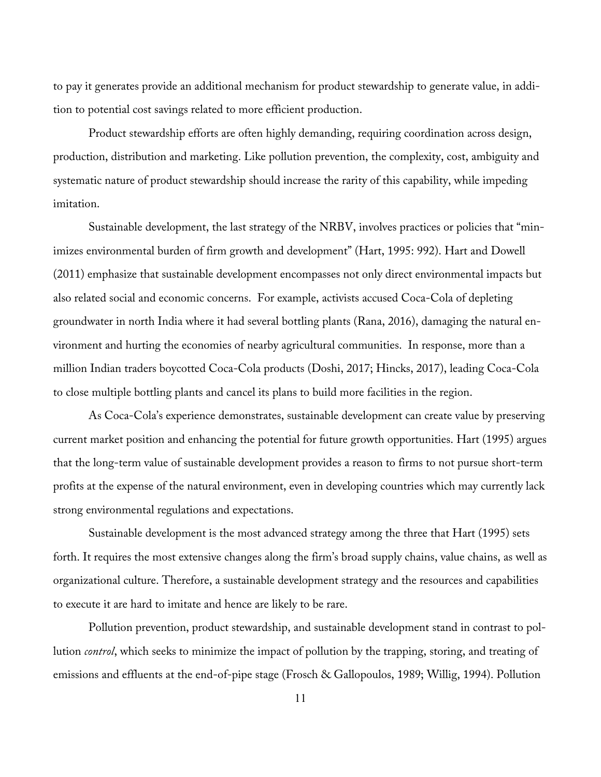to pay it generates provide an additional mechanism for product stewardship to generate value, in addition to potential cost savings related to more efficient production.

Product stewardship efforts are often highly demanding, requiring coordination across design, production, distribution and marketing. Like pollution prevention, the complexity, cost, ambiguity and systematic nature of product stewardship should increase the rarity of this capability, while impeding imitation.

Sustainable development, the last strategy of the NRBV, involves practices or policies that "minimizes environmental burden of firm growth and development" (Hart, 1995: 992). Hart and Dowell (2011) emphasize that sustainable development encompasses not only direct environmental impacts but also related social and economic concerns. For example, activists accused Coca-Cola of depleting groundwater in north India where it had several bottling plants (Rana, 2016), damaging the natural environment and hurting the economies of nearby agricultural communities. In response, more than a million Indian traders boycotted Coca-Cola products (Doshi, 2017; Hincks, 2017), leading Coca-Cola to close multiple bottling plants and cancel its plans to build more facilities in the region.

As Coca-Cola's experience demonstrates, sustainable development can create value by preserving current market position and enhancing the potential for future growth opportunities. Hart (1995) argues that the long-term value of sustainable development provides a reason to firms to not pursue short-term profits at the expense of the natural environment, even in developing countries which may currently lack strong environmental regulations and expectations.

Sustainable development is the most advanced strategy among the three that Hart (1995) sets forth. It requires the most extensive changes along the firm's broad supply chains, value chains, as well as organizational culture. Therefore, a sustainable development strategy and the resources and capabilities to execute it are hard to imitate and hence are likely to be rare.

Pollution prevention, product stewardship, and sustainable development stand in contrast to pollution *control*, which seeks to minimize the impact of pollution by the trapping, storing, and treating of emissions and effluents at the end-of-pipe stage (Frosch & Gallopoulos, 1989; Willig, 1994). Pollution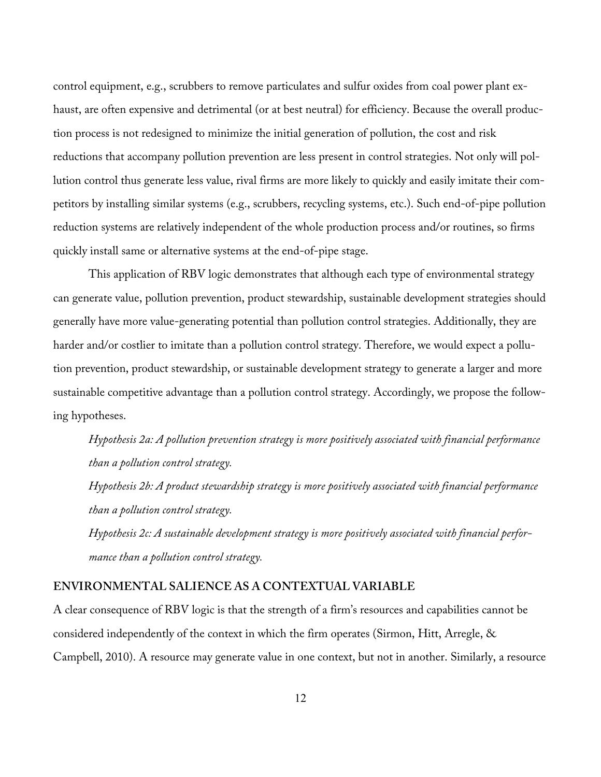control equipment, e.g., scrubbers to remove particulates and sulfur oxides from coal power plant exhaust, are often expensive and detrimental (or at best neutral) for efficiency. Because the overall production process is not redesigned to minimize the initial generation of pollution, the cost and risk reductions that accompany pollution prevention are less present in control strategies. Not only will pollution control thus generate less value, rival firms are more likely to quickly and easily imitate their competitors by installing similar systems (e.g., scrubbers, recycling systems, etc.). Such end-of-pipe pollution reduction systems are relatively independent of the whole production process and/or routines, so firms quickly install same or alternative systems at the end-of-pipe stage.

This application of RBV logic demonstrates that although each type of environmental strategy can generate value, pollution prevention, product stewardship, sustainable development strategies should generally have more value-generating potential than pollution control strategies. Additionally, they are harder and/or costlier to imitate than a pollution control strategy. Therefore, we would expect a pollution prevention, product stewardship, or sustainable development strategy to generate a larger and more sustainable competitive advantage than a pollution control strategy. Accordingly, we propose the following hypotheses.

*Hypothesis 2a: A pollution prevention strategy is more positively associated with financial performance than a pollution control strategy.*

*Hypothesis 2b: A product stewardship strategy is more positively associated with financial performance than a pollution control strategy.*

*Hypothesis 2c: A sustainable development strategy is more positively associated with financial performance than a pollution control strategy.*

### **ENVIRONMENTAL SALIENCE AS A CONTEXTUAL VARIABLE**

A clear consequence of RBV logic is that the strength of a firm's resources and capabilities cannot be considered independently of the context in which the firm operates (Sirmon, Hitt, Arregle, & Campbell, 2010). A resource may generate value in one context, but not in another. Similarly, a resource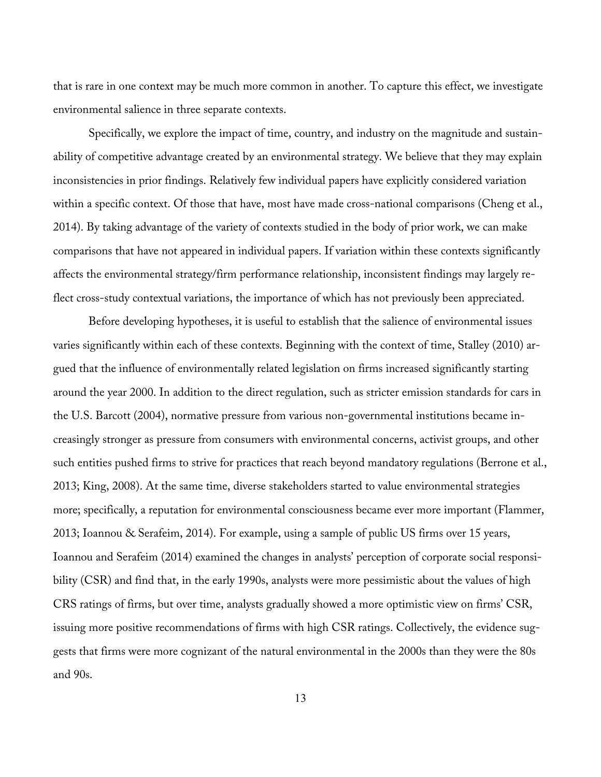that is rare in one context may be much more common in another. To capture this effect, we investigate environmental salience in three separate contexts.

Specifically, we explore the impact of time, country, and industry on the magnitude and sustainability of competitive advantage created by an environmental strategy. We believe that they may explain inconsistencies in prior findings. Relatively few individual papers have explicitly considered variation within a specific context. Of those that have, most have made cross-national comparisons (Cheng et al., 2014). By taking advantage of the variety of contexts studied in the body of prior work, we can make comparisons that have not appeared in individual papers. If variation within these contexts significantly affects the environmental strategy/firm performance relationship, inconsistent findings may largely reflect cross-study contextual variations, the importance of which has not previously been appreciated.

Before developing hypotheses, it is useful to establish that the salience of environmental issues varies significantly within each of these contexts. Beginning with the context of time, Stalley (2010) argued that the influence of environmentally related legislation on firms increased significantly starting around the year 2000. In addition to the direct regulation, such as stricter emission standards for cars in the U.S. Barcott (2004), normative pressure from various non-governmental institutions became increasingly stronger as pressure from consumers with environmental concerns, activist groups, and other such entities pushed firms to strive for practices that reach beyond mandatory regulations (Berrone et al., 2013; King, 2008). At the same time, diverse stakeholders started to value environmental strategies more; specifically, a reputation for environmental consciousness became ever more important (Flammer, 2013; Ioannou & Serafeim, 2014). For example, using a sample of public US firms over 15 years, Ioannou and Serafeim (2014) examined the changes in analysts' perception of corporate social responsibility (CSR) and find that, in the early 1990s, analysts were more pessimistic about the values of high CRS ratings of firms, but over time, analysts gradually showed a more optimistic view on firms' CSR, issuing more positive recommendations of firms with high CSR ratings. Collectively, the evidence suggests that firms were more cognizant of the natural environmental in the 2000s than they were the 80s and 90s.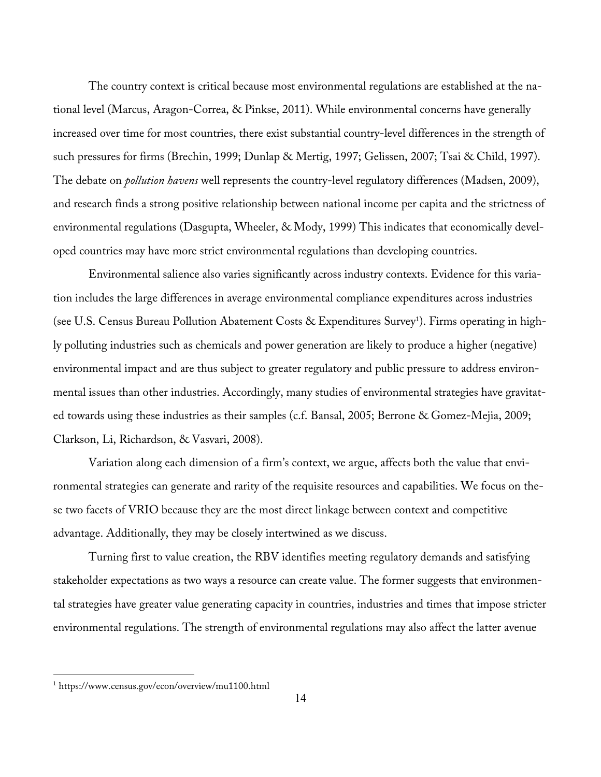The country context is critical because most environmental regulations are established at the national level (Marcus, Aragon-Correa, & Pinkse, 2011). While environmental concerns have generally increased over time for most countries, there exist substantial country-level differences in the strength of such pressures for firms (Brechin, 1999; Dunlap & Mertig, 1997; Gelissen, 2007; Tsai & Child, 1997). The debate on *pollution havens* well represents the country-level regulatory differences (Madsen, 2009), and research finds a strong positive relationship between national income per capita and the strictness of environmental regulations (Dasgupta, Wheeler, & Mody, 1999) This indicates that economically developed countries may have more strict environmental regulations than developing countries.

Environmental salience also varies significantly across industry contexts. Evidence for this variation includes the large differences in average environmental compliance expenditures across industries (see U.S. Census Bureau Pollution Abatement Costs & Expenditures Survey<sup>1</sup>). Firms operating in highly polluting industries such as chemicals and power generation are likely to produce a higher (negative) environmental impact and are thus subject to greater regulatory and public pressure to address environmental issues than other industries. Accordingly, many studies of environmental strategies have gravitated towards using these industries as their samples (c.f. Bansal, 2005; Berrone & Gomez-Mejia, 2009; Clarkson, Li, Richardson, & Vasvari, 2008).

Variation along each dimension of a firm's context, we argue, affects both the value that environmental strategies can generate and rarity of the requisite resources and capabilities. We focus on these two facets of VRIO because they are the most direct linkage between context and competitive advantage. Additionally, they may be closely intertwined as we discuss.

Turning first to value creation, the RBV identifies meeting regulatory demands and satisfying stakeholder expectations as two ways a resource can create value. The former suggests that environmental strategies have greater value generating capacity in countries, industries and times that impose stricter environmental regulations. The strength of environmental regulations may also affect the latter avenue

<u> Andrew Maria (1989)</u>

<sup>1</sup> https://www.census.gov/econ/overview/mu1100.html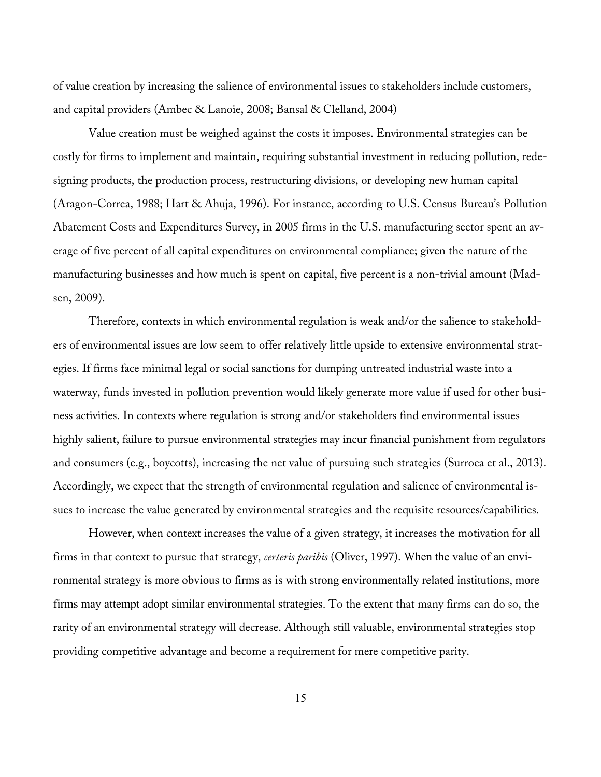of value creation by increasing the salience of environmental issues to stakeholders include customers, and capital providers (Ambec & Lanoie, 2008; Bansal & Clelland, 2004)

Value creation must be weighed against the costs it imposes. Environmental strategies can be costly for firms to implement and maintain, requiring substantial investment in reducing pollution, redesigning products, the production process, restructuring divisions, or developing new human capital (Aragon-Correa, 1988; Hart & Ahuja, 1996). For instance, according to U.S. Census Bureau's Pollution Abatement Costs and Expenditures Survey, in 2005 firms in the U.S. manufacturing sector spent an average of five percent of all capital expenditures on environmental compliance; given the nature of the manufacturing businesses and how much is spent on capital, five percent is a non-trivial amount (Madsen, 2009).

Therefore, contexts in which environmental regulation is weak and/or the salience to stakeholders of environmental issues are low seem to offer relatively little upside to extensive environmental strategies. If firms face minimal legal or social sanctions for dumping untreated industrial waste into a waterway, funds invested in pollution prevention would likely generate more value if used for other business activities. In contexts where regulation is strong and/or stakeholders find environmental issues highly salient, failure to pursue environmental strategies may incur financial punishment from regulators and consumers (e.g., boycotts), increasing the net value of pursuing such strategies (Surroca et al., 2013). Accordingly, we expect that the strength of environmental regulation and salience of environmental issues to increase the value generated by environmental strategies and the requisite resources/capabilities.

However, when context increases the value of a given strategy, it increases the motivation for all firms in that context to pursue that strategy, *certeris paribis* (Oliver, 1997). When the value of an environmental strategy is more obvious to firms as is with strong environmentally related institutions, more firms may attempt adopt similar environmental strategies. To the extent that many firms can do so, the rarity of an environmental strategy will decrease. Although still valuable, environmental strategies stop providing competitive advantage and become a requirement for mere competitive parity.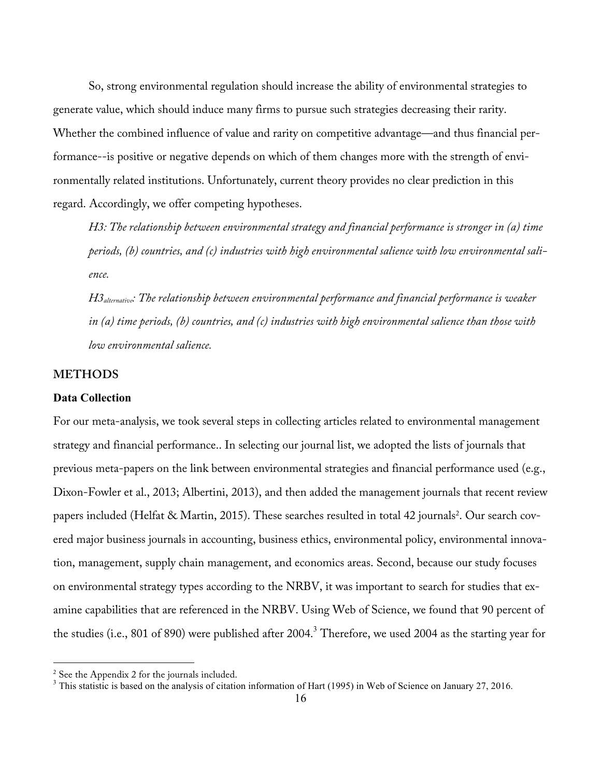So, strong environmental regulation should increase the ability of environmental strategies to generate value, which should induce many firms to pursue such strategies decreasing their rarity. Whether the combined influence of value and rarity on competitive advantage—and thus financial performance--is positive or negative depends on which of them changes more with the strength of environmentally related institutions. Unfortunately, current theory provides no clear prediction in this regard. Accordingly, we offer competing hypotheses.

*H3: The relationship between environmental strategy and financial performance is stronger in (a) time periods, (b) countries, and (c) industries with high environmental salience with low environmental salience.*

*H3alternative: The relationship between environmental performance and financial performance is weaker in (a) time periods, (b) countries, and (c) industries with high environmental salience than those with low environmental salience.*

## **METHODS**

#### **Data Collection**

For our meta-analysis, we took several steps in collecting articles related to environmental management strategy and financial performance.. In selecting our journal list, we adopted the lists of journals that previous meta-papers on the link between environmental strategies and financial performance used (e.g., Dixon-Fowler et al., 2013; Albertini, 2013), and then added the management journals that recent review papers included (Helfat & Martin, 2015). These searches resulted in total 42 journals<sup>2</sup>. Our search covered major business journals in accounting, business ethics, environmental policy, environmental innovation, management, supply chain management, and economics areas. Second, because our study focuses on environmental strategy types according to the NRBV, it was important to search for studies that examine capabilities that are referenced in the NRBV. Using Web of Science, we found that 90 percent of the studies (i.e., 801 of 890) were published after 2004.<sup>3</sup> Therefore, we used 2004 as the starting year for

<u> Andrew Maria (1989)</u>

<sup>&</sup>lt;sup>2</sup> See the Appendix 2 for the journals included.<br><sup>3</sup> This statistic is based on the analysis of citation information of Hart (1995) in Web of Science on January 27, 2016.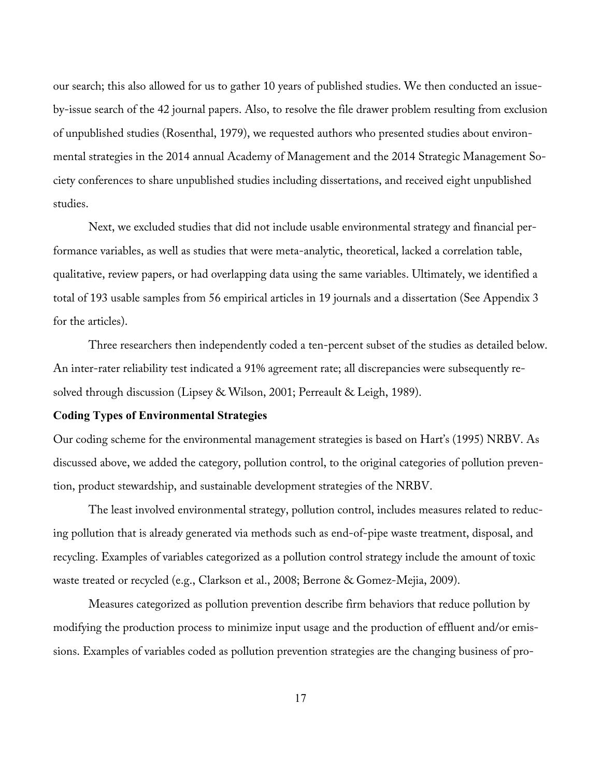our search; this also allowed for us to gather 10 years of published studies. We then conducted an issueby-issue search of the 42 journal papers. Also, to resolve the file drawer problem resulting from exclusion of unpublished studies (Rosenthal, 1979), we requested authors who presented studies about environmental strategies in the 2014 annual Academy of Management and the 2014 Strategic Management Society conferences to share unpublished studies including dissertations, and received eight unpublished studies.

Next, we excluded studies that did not include usable environmental strategy and financial performance variables, as well as studies that were meta-analytic, theoretical, lacked a correlation table, qualitative, review papers, or had overlapping data using the same variables. Ultimately, we identified a total of 193 usable samples from 56 empirical articles in 19 journals and a dissertation (See Appendix 3 for the articles).

Three researchers then independently coded a ten-percent subset of the studies as detailed below. An inter-rater reliability test indicated a 91% agreement rate; all discrepancies were subsequently resolved through discussion (Lipsey & Wilson, 2001; Perreault & Leigh, 1989).

#### **Coding Types of Environmental Strategies**

Our coding scheme for the environmental management strategies is based on Hart's (1995) NRBV. As discussed above, we added the category, pollution control, to the original categories of pollution prevention, product stewardship, and sustainable development strategies of the NRBV.

The least involved environmental strategy, pollution control, includes measures related to reducing pollution that is already generated via methods such as end-of-pipe waste treatment, disposal, and recycling. Examples of variables categorized as a pollution control strategy include the amount of toxic waste treated or recycled (e.g., Clarkson et al., 2008; Berrone & Gomez-Mejia, 2009).

Measures categorized as pollution prevention describe firm behaviors that reduce pollution by modifying the production process to minimize input usage and the production of effluent and/or emissions. Examples of variables coded as pollution prevention strategies are the changing business of pro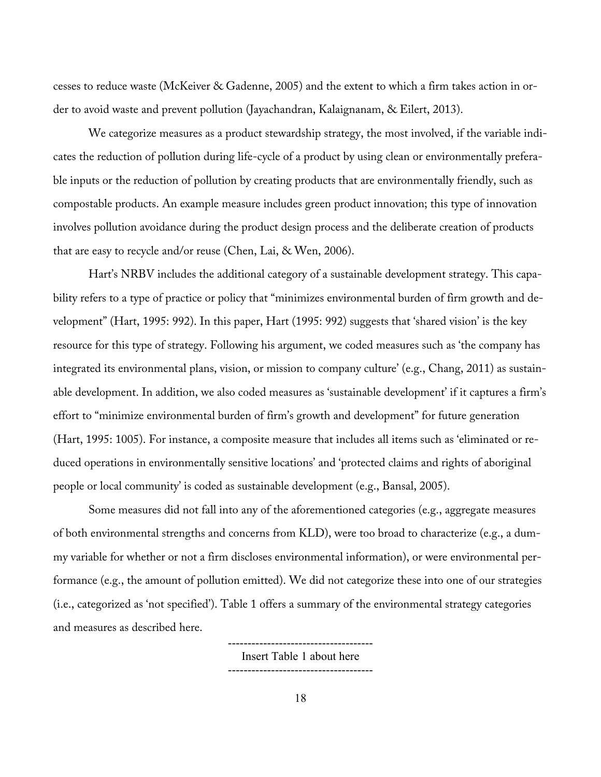cesses to reduce waste (McKeiver & Gadenne, 2005) and the extent to which a firm takes action in order to avoid waste and prevent pollution (Jayachandran, Kalaignanam, & Eilert, 2013).

We categorize measures as a product stewardship strategy, the most involved, if the variable indicates the reduction of pollution during life-cycle of a product by using clean or environmentally preferable inputs or the reduction of pollution by creating products that are environmentally friendly, such as compostable products. An example measure includes green product innovation; this type of innovation involves pollution avoidance during the product design process and the deliberate creation of products that are easy to recycle and/or reuse (Chen, Lai, & Wen, 2006).

Hart's NRBV includes the additional category of a sustainable development strategy. This capability refers to a type of practice or policy that "minimizes environmental burden of firm growth and development" (Hart, 1995: 992). In this paper, Hart (1995: 992) suggests that 'shared vision' is the key resource for this type of strategy. Following his argument, we coded measures such as 'the company has integrated its environmental plans, vision, or mission to company culture' (e.g., Chang, 2011) as sustainable development. In addition, we also coded measures as 'sustainable development' if it captures a firm's effort to "minimize environmental burden of firm's growth and development" for future generation (Hart, 1995: 1005). For instance, a composite measure that includes all items such as 'eliminated or reduced operations in environmentally sensitive locations' and 'protected claims and rights of aboriginal people or local community' is coded as sustainable development (e.g., Bansal, 2005).

Some measures did not fall into any of the aforementioned categories (e.g., aggregate measures of both environmental strengths and concerns from KLD), were too broad to characterize (e.g., a dummy variable for whether or not a firm discloses environmental information), or were environmental performance (e.g., the amount of pollution emitted). We did not categorize these into one of our strategies (i.e., categorized as 'not specified'). Table 1 offers a summary of the environmental strategy categories and measures as described here.

> ------------------------------------- Insert Table 1 about here -------------------------------------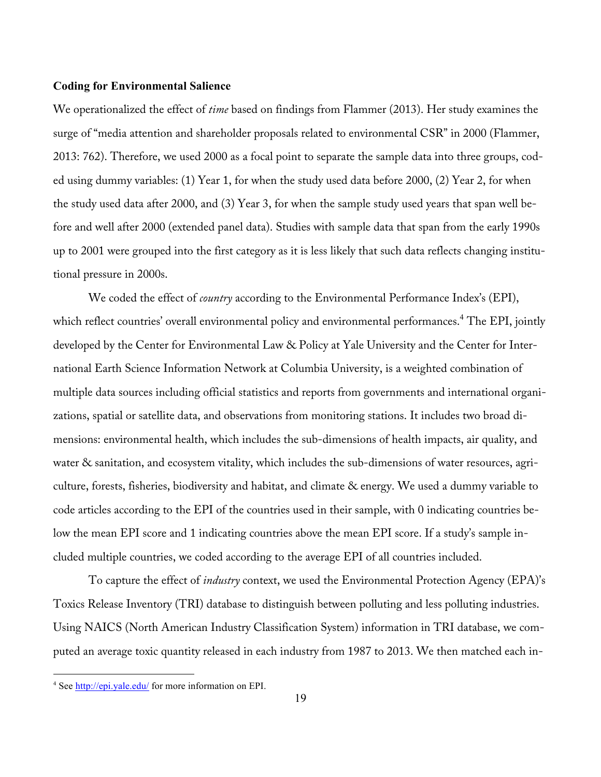#### **Coding for Environmental Salience**

We operationalized the effect of *time* based on findings from Flammer (2013). Her study examines the surge of "media attention and shareholder proposals related to environmental CSR" in 2000 (Flammer, 2013: 762). Therefore, we used 2000 as a focal point to separate the sample data into three groups, coded using dummy variables: (1) Year 1, for when the study used data before 2000, (2) Year 2, for when the study used data after 2000, and (3) Year 3, for when the sample study used years that span well before and well after 2000 (extended panel data). Studies with sample data that span from the early 1990s up to 2001 were grouped into the first category as it is less likely that such data reflects changing institutional pressure in 2000s.

We coded the effect of *country* according to the Environmental Performance Index's (EPI), which reflect countries' overall environmental policy and environmental performances. <sup>4</sup> The EPI, jointly developed by the Center for Environmental Law & Policy at Yale University and the Center for International Earth Science Information Network at Columbia University, is a weighted combination of multiple data sources including official statistics and reports from governments and international organizations, spatial or satellite data, and observations from monitoring stations. It includes two broad dimensions: environmental health, which includes the sub-dimensions of health impacts, air quality, and water & sanitation, and ecosystem vitality, which includes the sub-dimensions of water resources, agriculture, forests, fisheries, biodiversity and habitat, and climate & energy. We used a dummy variable to code articles according to the EPI of the countries used in their sample, with 0 indicating countries below the mean EPI score and 1 indicating countries above the mean EPI score. If a study's sample included multiple countries, we coded according to the average EPI of all countries included.

To capture the effect of *industry* context, we used the Environmental Protection Agency (EPA)'s Toxics Release Inventory (TRI) database to distinguish between polluting and less polluting industries. Using NAICS (North American Industry Classification System) information in TRI database, we computed an average toxic quantity released in each industry from 1987 to 2013. We then matched each in-

<u> Andrew Maria (1989)</u>

<sup>4</sup> See http://epi.yale.edu/ for more information on EPI.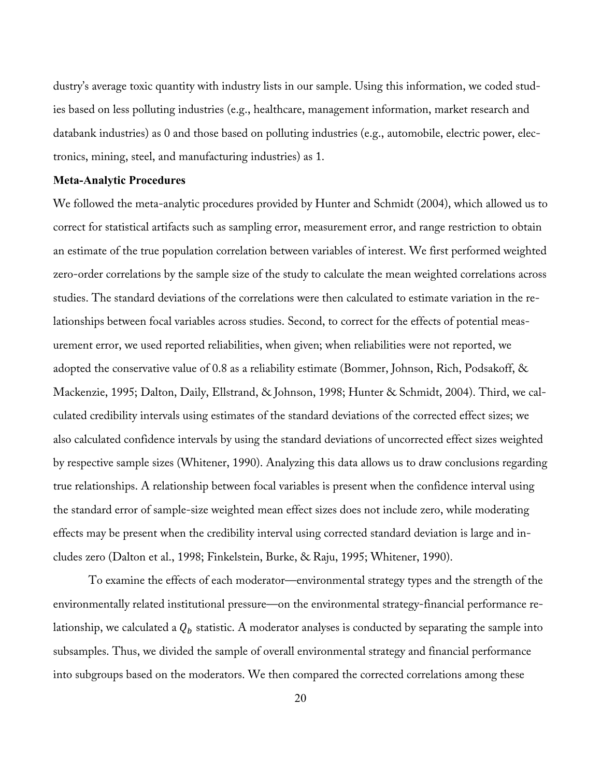dustry's average toxic quantity with industry lists in our sample. Using this information, we coded studies based on less polluting industries (e.g., healthcare, management information, market research and databank industries) as 0 and those based on polluting industries (e.g., automobile, electric power, electronics, mining, steel, and manufacturing industries) as 1.

### **Meta-Analytic Procedures**

We followed the meta-analytic procedures provided by Hunter and Schmidt (2004), which allowed us to correct for statistical artifacts such as sampling error, measurement error, and range restriction to obtain an estimate of the true population correlation between variables of interest. We first performed weighted zero-order correlations by the sample size of the study to calculate the mean weighted correlations across studies. The standard deviations of the correlations were then calculated to estimate variation in the relationships between focal variables across studies. Second, to correct for the effects of potential measurement error, we used reported reliabilities, when given; when reliabilities were not reported, we adopted the conservative value of 0.8 as a reliability estimate (Bommer, Johnson, Rich, Podsakoff, & Mackenzie, 1995; Dalton, Daily, Ellstrand, & Johnson, 1998; Hunter & Schmidt, 2004). Third, we calculated credibility intervals using estimates of the standard deviations of the corrected effect sizes; we also calculated confidence intervals by using the standard deviations of uncorrected effect sizes weighted by respective sample sizes (Whitener, 1990). Analyzing this data allows us to draw conclusions regarding true relationships. A relationship between focal variables is present when the confidence interval using the standard error of sample-size weighted mean effect sizes does not include zero, while moderating effects may be present when the credibility interval using corrected standard deviation is large and includes zero (Dalton et al., 1998; Finkelstein, Burke, & Raju, 1995; Whitener, 1990).

To examine the effects of each moderator—environmental strategy types and the strength of the environmentally related institutional pressure—on the environmental strategy-financial performance relationship, we calculated a  $Q_b$  statistic. A moderator analyses is conducted by separating the sample into subsamples. Thus, we divided the sample of overall environmental strategy and financial performance into subgroups based on the moderators. We then compared the corrected correlations among these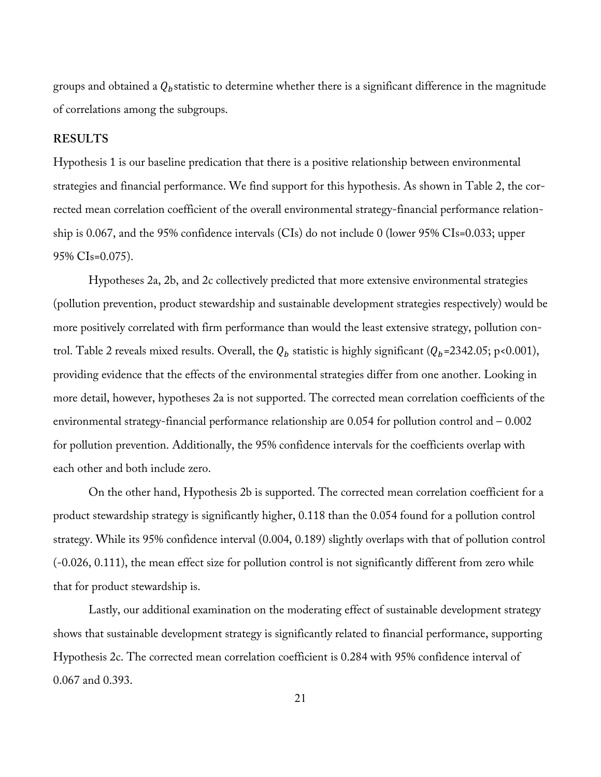groups and obtained a  $Q<sub>b</sub>$  statistic to determine whether there is a significant difference in the magnitude of correlations among the subgroups.

#### **RESULTS**

Hypothesis 1 is our baseline predication that there is a positive relationship between environmental strategies and financial performance. We find support for this hypothesis. As shown in Table 2, the corrected mean correlation coefficient of the overall environmental strategy-financial performance relationship is 0.067, and the 95% confidence intervals (CIs) do not include 0 (lower 95% CIs=0.033; upper 95% CIs=0.075).

Hypotheses 2a, 2b, and 2c collectively predicted that more extensive environmental strategies (pollution prevention, product stewardship and sustainable development strategies respectively) would be more positively correlated with firm performance than would the least extensive strategy, pollution control. Table 2 reveals mixed results. Overall, the  $Q_b$  statistic is highly significant ( $Q_b$ =2342.05; p<0.001), providing evidence that the effects of the environmental strategies differ from one another. Looking in more detail, however, hypotheses 2a is not supported. The corrected mean correlation coefficients of the environmental strategy-financial performance relationship are 0.054 for pollution control and – 0.002 for pollution prevention. Additionally, the 95% confidence intervals for the coefficients overlap with each other and both include zero.

On the other hand, Hypothesis 2b is supported. The corrected mean correlation coefficient for a product stewardship strategy is significantly higher, 0.118 than the 0.054 found for a pollution control strategy. While its 95% confidence interval (0.004, 0.189) slightly overlaps with that of pollution control (-0.026, 0.111), the mean effect size for pollution control is not significantly different from zero while that for product stewardship is.

Lastly, our additional examination on the moderating effect of sustainable development strategy shows that sustainable development strategy is significantly related to financial performance, supporting Hypothesis 2c. The corrected mean correlation coefficient is 0.284 with 95% confidence interval of 0.067 and 0.393.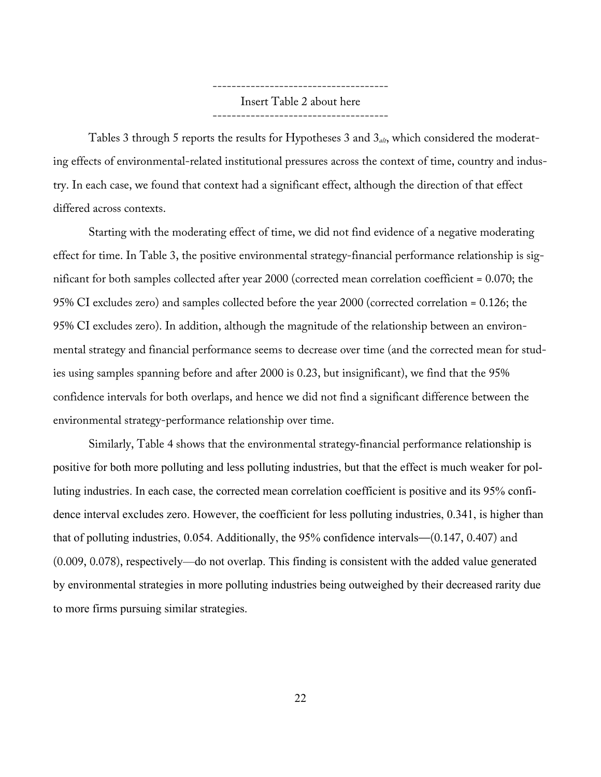------------------------------------- Insert Table 2 about here -------------------------------------

Tables 3 through 5 reports the results for Hypotheses 3 and 3*alt*, which considered the moderating effects of environmental-related institutional pressures across the context of time, country and industry. In each case, we found that context had a significant effect, although the direction of that effect differed across contexts.

Starting with the moderating effect of time, we did not find evidence of a negative moderating effect for time. In Table 3, the positive environmental strategy-financial performance relationship is significant for both samples collected after year 2000 (corrected mean correlation coefficient = 0.070; the 95% CI excludes zero) and samples collected before the year 2000 (corrected correlation = 0.126; the 95% CI excludes zero). In addition, although the magnitude of the relationship between an environmental strategy and financial performance seems to decrease over time (and the corrected mean for studies using samples spanning before and after 2000 is 0.23, but insignificant), we find that the 95% confidence intervals for both overlaps, and hence we did not find a significant difference between the environmental strategy-performance relationship over time.

Similarly, Table 4 shows that the environmental strategy-financial performance relationship is positive for both more polluting and less polluting industries, but that the effect is much weaker for polluting industries. In each case, the corrected mean correlation coefficient is positive and its 95% confidence interval excludes zero. However, the coefficient for less polluting industries, 0.341, is higher than that of polluting industries, 0.054. Additionally, the 95% confidence intervals—(0.147, 0.407) and (0.009, 0.078), respectively—do not overlap. This finding is consistent with the added value generated by environmental strategies in more polluting industries being outweighed by their decreased rarity due to more firms pursuing similar strategies.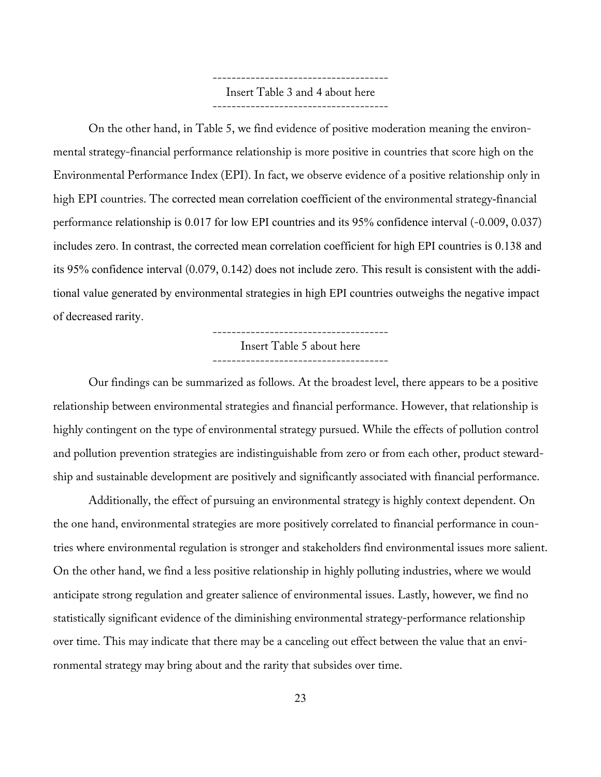------------------------------------- Insert Table 3 and 4 about here -------------------------------------

On the other hand, in Table 5, we find evidence of positive moderation meaning the environmental strategy-financial performance relationship is more positive in countries that score high on the Environmental Performance Index (EPI). In fact, we observe evidence of a positive relationship only in high EPI countries. The corrected mean correlation coefficient of the environmental strategy-financial performance relationship is 0.017 for low EPI countries and its 95% confidence interval (-0.009, 0.037) includes zero. In contrast, the corrected mean correlation coefficient for high EPI countries is 0.138 and its 95% confidence interval (0.079, 0.142) does not include zero. This result is consistent with the additional value generated by environmental strategies in high EPI countries outweighs the negative impact of decreased rarity.

-------------------------------------

Insert Table 5 about here

-------------------------------------

Our findings can be summarized as follows. At the broadest level, there appears to be a positive relationship between environmental strategies and financial performance. However, that relationship is highly contingent on the type of environmental strategy pursued. While the effects of pollution control and pollution prevention strategies are indistinguishable from zero or from each other, product stewardship and sustainable development are positively and significantly associated with financial performance.

Additionally, the effect of pursuing an environmental strategy is highly context dependent. On the one hand, environmental strategies are more positively correlated to financial performance in countries where environmental regulation is stronger and stakeholders find environmental issues more salient. On the other hand, we find a less positive relationship in highly polluting industries, where we would anticipate strong regulation and greater salience of environmental issues. Lastly, however, we find no statistically significant evidence of the diminishing environmental strategy-performance relationship over time. This may indicate that there may be a canceling out effect between the value that an environmental strategy may bring about and the rarity that subsides over time.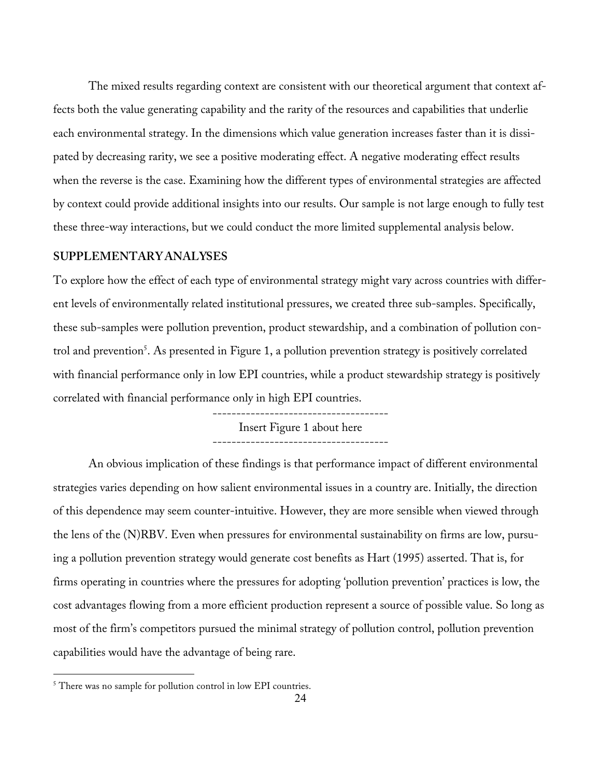The mixed results regarding context are consistent with our theoretical argument that context affects both the value generating capability and the rarity of the resources and capabilities that underlie each environmental strategy. In the dimensions which value generation increases faster than it is dissipated by decreasing rarity, we see a positive moderating effect. A negative moderating effect results when the reverse is the case. Examining how the different types of environmental strategies are affected by context could provide additional insights into our results. Our sample is not large enough to fully test these three-way interactions, but we could conduct the more limited supplemental analysis below.

### **SUPPLEMENTARY ANALYSES**

To explore how the effect of each type of environmental strategy might vary across countries with different levels of environmentally related institutional pressures, we created three sub-samples. Specifically, these sub-samples were pollution prevention, product stewardship, and a combination of pollution control and prevention<sup>5</sup>. As presented in Figure 1, a pollution prevention strategy is positively correlated with financial performance only in low EPI countries, while a product stewardship strategy is positively correlated with financial performance only in high EPI countries.

> ------------------------------------- Insert Figure 1 about here -------------------------------------

An obvious implication of these findings is that performance impact of different environmental strategies varies depending on how salient environmental issues in a country are. Initially, the direction of this dependence may seem counter-intuitive. However, they are more sensible when viewed through the lens of the (N)RBV. Even when pressures for environmental sustainability on firms are low, pursuing a pollution prevention strategy would generate cost benefits as Hart (1995) asserted. That is, for firms operating in countries where the pressures for adopting 'pollution prevention' practices is low, the cost advantages flowing from a more efficient production represent a source of possible value. So long as most of the firm's competitors pursued the minimal strategy of pollution control, pollution prevention capabilities would have the advantage of being rare.

<u> Andrew Maria (1989)</u>

<sup>&</sup>lt;sup>5</sup> There was no sample for pollution control in low EPI countries.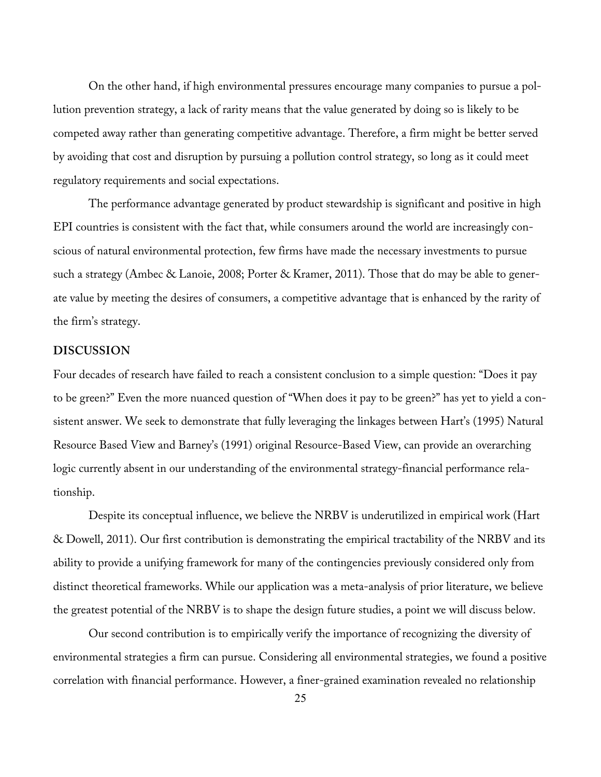On the other hand, if high environmental pressures encourage many companies to pursue a pollution prevention strategy, a lack of rarity means that the value generated by doing so is likely to be competed away rather than generating competitive advantage. Therefore, a firm might be better served by avoiding that cost and disruption by pursuing a pollution control strategy, so long as it could meet regulatory requirements and social expectations.

The performance advantage generated by product stewardship is significant and positive in high EPI countries is consistent with the fact that, while consumers around the world are increasingly conscious of natural environmental protection, few firms have made the necessary investments to pursue such a strategy (Ambec & Lanoie, 2008; Porter & Kramer, 2011). Those that do may be able to generate value by meeting the desires of consumers, a competitive advantage that is enhanced by the rarity of the firm's strategy.

## **DISCUSSION**

Four decades of research have failed to reach a consistent conclusion to a simple question: "Does it pay to be green?" Even the more nuanced question of "When does it pay to be green?" has yet to yield a consistent answer. We seek to demonstrate that fully leveraging the linkages between Hart's (1995) Natural Resource Based View and Barney's (1991) original Resource-Based View, can provide an overarching logic currently absent in our understanding of the environmental strategy-financial performance relationship.

Despite its conceptual influence, we believe the NRBV is underutilized in empirical work (Hart & Dowell, 2011). Our first contribution is demonstrating the empirical tractability of the NRBV and its ability to provide a unifying framework for many of the contingencies previously considered only from distinct theoretical frameworks. While our application was a meta-analysis of prior literature, we believe the greatest potential of the NRBV is to shape the design future studies, a point we will discuss below.

Our second contribution is to empirically verify the importance of recognizing the diversity of environmental strategies a firm can pursue. Considering all environmental strategies, we found a positive correlation with financial performance. However, a finer-grained examination revealed no relationship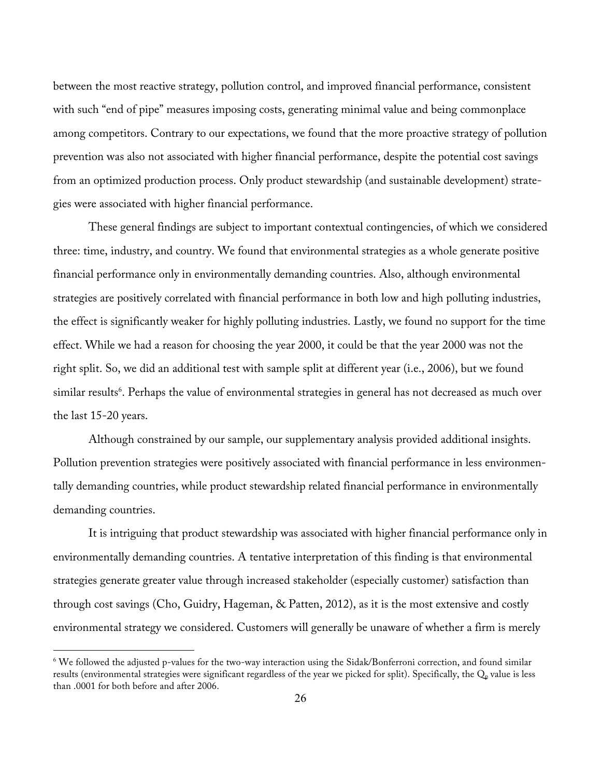between the most reactive strategy, pollution control, and improved financial performance, consistent with such "end of pipe" measures imposing costs, generating minimal value and being commonplace among competitors. Contrary to our expectations, we found that the more proactive strategy of pollution prevention was also not associated with higher financial performance, despite the potential cost savings from an optimized production process. Only product stewardship (and sustainable development) strategies were associated with higher financial performance.

These general findings are subject to important contextual contingencies, of which we considered three: time, industry, and country. We found that environmental strategies as a whole generate positive financial performance only in environmentally demanding countries. Also, although environmental strategies are positively correlated with financial performance in both low and high polluting industries, the effect is significantly weaker for highly polluting industries. Lastly, we found no support for the time effect. While we had a reason for choosing the year 2000, it could be that the year 2000 was not the right split. So, we did an additional test with sample split at different year (i.e., 2006), but we found similar results<sup>6</sup>. Perhaps the value of environmental strategies in general has not decreased as much over the last 15-20 years.

Although constrained by our sample, our supplementary analysis provided additional insights. Pollution prevention strategies were positively associated with financial performance in less environmentally demanding countries, while product stewardship related financial performance in environmentally demanding countries.

It is intriguing that product stewardship was associated with higher financial performance only in environmentally demanding countries. A tentative interpretation of this finding is that environmental strategies generate greater value through increased stakeholder (especially customer) satisfaction than through cost savings (Cho, Guidry, Hageman, & Patten, 2012), as it is the most extensive and costly environmental strategy we considered. Customers will generally be unaware of whether a firm is merely

<u> Andrew Maria (1989)</u>

<sup>&</sup>lt;sup>6</sup> We followed the adjusted p-values for the two-way interaction using the Sidak/Bonferroni correction, and found similar results (environmental strategies were significant regardless of the year we picked for split). Specifically, the Q<sub>p</sub> value is less than .0001 for both before and after 2006.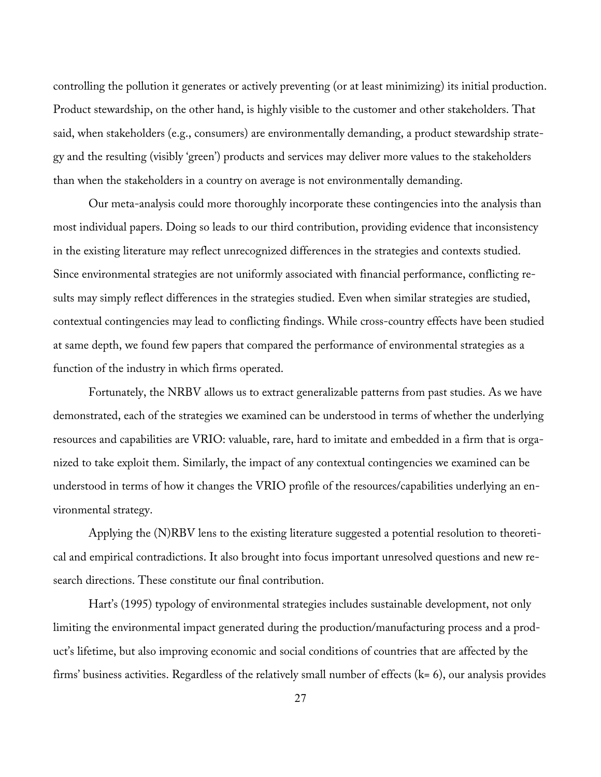controlling the pollution it generates or actively preventing (or at least minimizing) its initial production. Product stewardship, on the other hand, is highly visible to the customer and other stakeholders. That said, when stakeholders (e.g., consumers) are environmentally demanding, a product stewardship strategy and the resulting (visibly 'green') products and services may deliver more values to the stakeholders than when the stakeholders in a country on average is not environmentally demanding.

Our meta-analysis could more thoroughly incorporate these contingencies into the analysis than most individual papers. Doing so leads to our third contribution, providing evidence that inconsistency in the existing literature may reflect unrecognized differences in the strategies and contexts studied. Since environmental strategies are not uniformly associated with financial performance, conflicting results may simply reflect differences in the strategies studied. Even when similar strategies are studied, contextual contingencies may lead to conflicting findings. While cross-country effects have been studied at same depth, we found few papers that compared the performance of environmental strategies as a function of the industry in which firms operated.

Fortunately, the NRBV allows us to extract generalizable patterns from past studies. As we have demonstrated, each of the strategies we examined can be understood in terms of whether the underlying resources and capabilities are VRIO: valuable, rare, hard to imitate and embedded in a firm that is organized to take exploit them. Similarly, the impact of any contextual contingencies we examined can be understood in terms of how it changes the VRIO profile of the resources/capabilities underlying an environmental strategy.

Applying the (N)RBV lens to the existing literature suggested a potential resolution to theoretical and empirical contradictions. It also brought into focus important unresolved questions and new research directions. These constitute our final contribution.

Hart's (1995) typology of environmental strategies includes sustainable development, not only limiting the environmental impact generated during the production/manufacturing process and a product's lifetime, but also improving economic and social conditions of countries that are affected by the firms' business activities. Regardless of the relatively small number of effects (k= 6), our analysis provides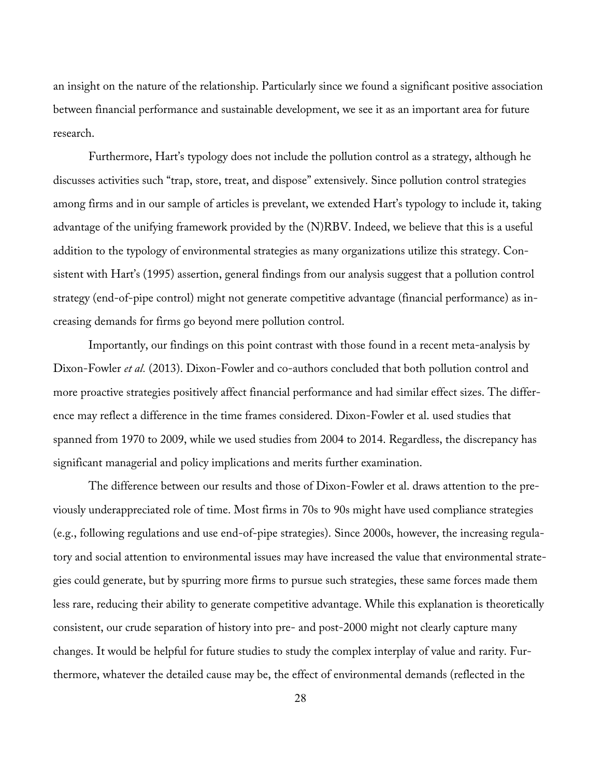an insight on the nature of the relationship. Particularly since we found a significant positive association between financial performance and sustainable development, we see it as an important area for future research.

Furthermore, Hart's typology does not include the pollution control as a strategy, although he discusses activities such "trap, store, treat, and dispose" extensively. Since pollution control strategies among firms and in our sample of articles is prevelant, we extended Hart's typology to include it, taking advantage of the unifying framework provided by the (N)RBV. Indeed, we believe that this is a useful addition to the typology of environmental strategies as many organizations utilize this strategy. Consistent with Hart's (1995) assertion, general findings from our analysis suggest that a pollution control strategy (end-of-pipe control) might not generate competitive advantage (financial performance) as increasing demands for firms go beyond mere pollution control.

Importantly, our findings on this point contrast with those found in a recent meta-analysis by Dixon-Fowler *et al.* (2013). Dixon-Fowler and co-authors concluded that both pollution control and more proactive strategies positively affect financial performance and had similar effect sizes. The difference may reflect a difference in the time frames considered. Dixon-Fowler et al. used studies that spanned from 1970 to 2009, while we used studies from 2004 to 2014. Regardless, the discrepancy has significant managerial and policy implications and merits further examination.

The difference between our results and those of Dixon-Fowler et al. draws attention to the previously underappreciated role of time. Most firms in 70s to 90s might have used compliance strategies (e.g., following regulations and use end-of-pipe strategies). Since 2000s, however, the increasing regulatory and social attention to environmental issues may have increased the value that environmental strategies could generate, but by spurring more firms to pursue such strategies, these same forces made them less rare, reducing their ability to generate competitive advantage. While this explanation is theoretically consistent, our crude separation of history into pre- and post-2000 might not clearly capture many changes. It would be helpful for future studies to study the complex interplay of value and rarity. Furthermore, whatever the detailed cause may be, the effect of environmental demands (reflected in the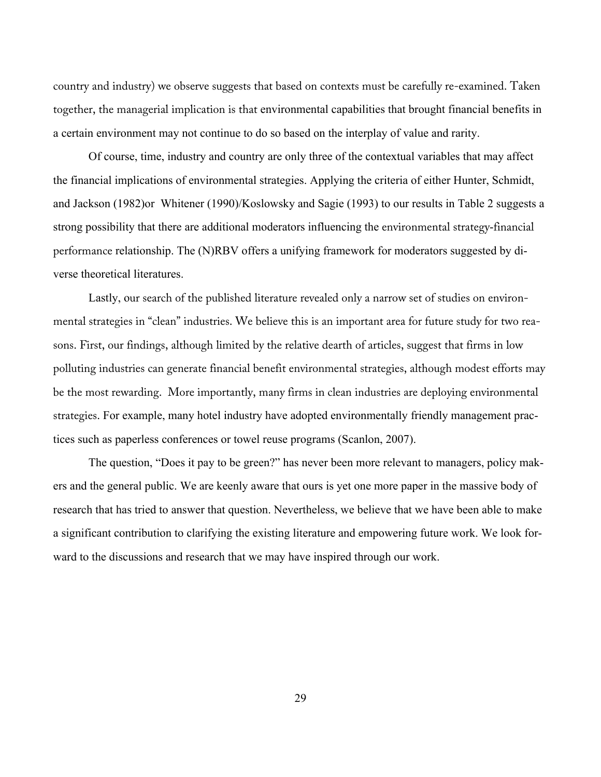country and industry) we observe suggests that based on contexts must be carefully re-examined. Taken together, the managerial implication is that environmental capabilities that brought financial benefits in a certain environment may not continue to do so based on the interplay of value and rarity.

Of course, time, industry and country are only three of the contextual variables that may affect the financial implications of environmental strategies. Applying the criteria of either Hunter, Schmidt, and Jackson (1982)or Whitener (1990)/Koslowsky and Sagie (1993) to our results in Table 2 suggests a strong possibility that there are additional moderators influencing the environmental strategy-financial performance relationship. The (N)RBV offers a unifying framework for moderators suggested by diverse theoretical literatures.

Lastly, our search of the published literature revealed only a narrow set of studies on environmental strategies in "clean" industries. We believe this is an important area for future study for two reasons. First, our findings, although limited by the relative dearth of articles, suggest that firms in low polluting industries can generate financial benefit environmental strategies, although modest efforts may be the most rewarding. More importantly, many firms in clean industries are deploying environmental strategies. For example, many hotel industry have adopted environmentally friendly management practices such as paperless conferences or towel reuse programs (Scanlon, 2007).

The question, "Does it pay to be green?" has never been more relevant to managers, policy makers and the general public. We are keenly aware that ours is yet one more paper in the massive body of research that has tried to answer that question. Nevertheless, we believe that we have been able to make a significant contribution to clarifying the existing literature and empowering future work. We look forward to the discussions and research that we may have inspired through our work.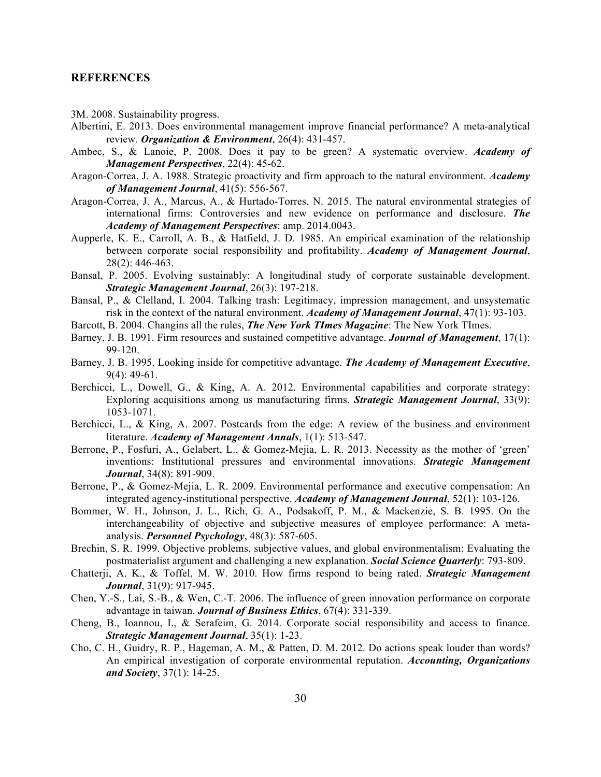#### **REFERENCES**

- 3M. 2008. Sustainability progress.
- Albertini, E. 2013. Does environmental management improve financial performance? A meta-analytical review. *Organization & Environment*, 26(4): 431-457.
- Ambec, S., & Lanoie, P. 2008. Does it pay to be green? A systematic overview. *Academy of Management Perspectives*, 22(4): 45-62.
- Aragon-Correa, J. A. 1988. Strategic proactivity and firm approach to the natural environment. *Academy of Management Journal*, 41(5): 556-567.
- Aragon-Correa, J. A., Marcus, A., & Hurtado-Torres, N. 2015. The natural environmental strategies of international firms: Controversies and new evidence on performance and disclosure. *The Academy of Management Perspectives*: amp. 2014.0043.
- Aupperle, K. E., Carroll, A. B., & Hatfield, J. D. 1985. An empirical examination of the relationship between corporate social responsibility and profitability. *Academy of Management Journal*, 28(2): 446-463.
- Bansal, P. 2005. Evolving sustainably: A longitudinal study of corporate sustainable development. *Strategic Management Journal*, 26(3): 197-218.
- Bansal, P., & Clelland, I. 2004. Talking trash: Legitimacy, impression management, and unsystematic risk in the context of the natural environment. *Academy of Management Journal*, 47(1): 93-103.
- Barcott, B. 2004. Changins all the rules, *The New York TImes Magazine*: The New York TImes.
- Barney, J. B. 1991. Firm resources and sustained competitive advantage. *Journal of Management*, 17(1): 99-120.
- Barney, J. B. 1995. Looking inside for competitive advantage. *The Academy of Management Executive*, 9(4): 49-61.
- Berchicci, L., Dowell, G., & King, A. A. 2012. Environmental capabilities and corporate strategy: Exploring acquisitions among us manufacturing firms. *Strategic Management Journal*, 33(9): 1053-1071.
- Berchicci, L., & King, A. 2007. Postcards from the edge: A review of the business and environment literature. *Academy of Management Annals*, 1(1): 513-547.
- Berrone, P., Fosfuri, A., Gelabert, L., & Gomez-Mejia, L. R. 2013. Necessity as the mother of 'green' inventions: Institutional pressures and environmental innovations. *Strategic Management Journal*, 34(8): 891-909.
- Berrone, P., & Gomez-Mejia, L. R. 2009. Environmental performance and executive compensation: An integrated agency-institutional perspective. *Academy of Management Journal*, 52(1): 103-126.
- Bommer, W. H., Johnson, J. L., Rich, G. A., Podsakoff, P. M., & Mackenzie, S. B. 1995. On the interchangeability of objective and subjective measures of employee performance: A metaanalysis. *Personnel Psychology*, 48(3): 587-605.
- Brechin, S. R. 1999. Objective problems, subjective values, and global environmentalism: Evaluating the postmaterialist argument and challenging a new explanation. *Social Science Quarterly*: 793-809.
- Chatterji, A. K., & Toffel, M. W. 2010. How firms respond to being rated. *Strategic Management Journal*, 31(9): 917-945.
- Chen, Y.-S., Lai, S.-B., & Wen, C.-T. 2006. The influence of green innovation performance on corporate advantage in taiwan. *Journal of Business Ethics*, 67(4): 331-339.
- Cheng, B., Ioannou, I., & Serafeim, G. 2014. Corporate social responsibility and access to finance. *Strategic Management Journal*, 35(1): 1-23.
- Cho, C. H., Guidry, R. P., Hageman, A. M., & Patten, D. M. 2012. Do actions speak louder than words? An empirical investigation of corporate environmental reputation. *Accounting, Organizations and Society*, 37(1): 14-25.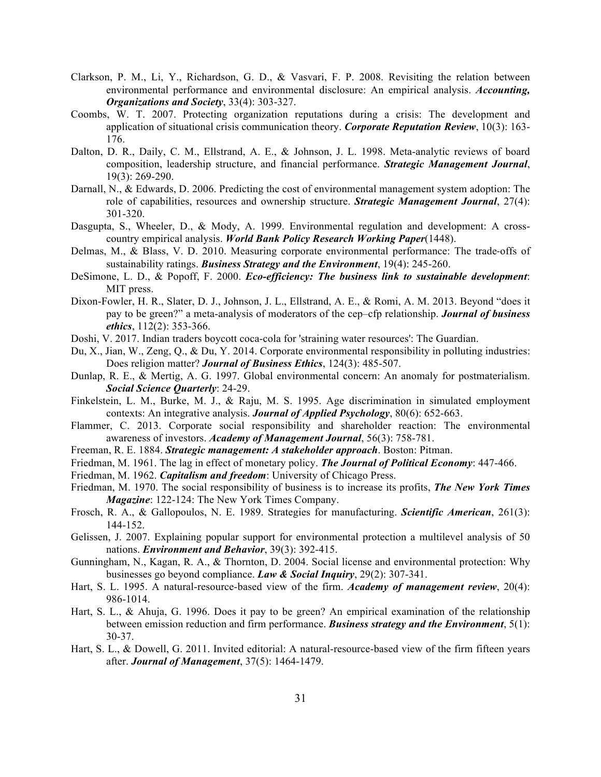- Clarkson, P. M., Li, Y., Richardson, G. D., & Vasvari, F. P. 2008. Revisiting the relation between environmental performance and environmental disclosure: An empirical analysis. *Accounting, Organizations and Society*, 33(4): 303-327.
- Coombs, W. T. 2007. Protecting organization reputations during a crisis: The development and application of situational crisis communication theory. *Corporate Reputation Review*, 10(3): 163- 176.
- Dalton, D. R., Daily, C. M., Ellstrand, A. E., & Johnson, J. L. 1998. Meta-analytic reviews of board composition, leadership structure, and financial performance. *Strategic Management Journal*, 19(3): 269-290.
- Darnall, N., & Edwards, D. 2006. Predicting the cost of environmental management system adoption: The role of capabilities, resources and ownership structure. *Strategic Management Journal*, 27(4): 301-320.
- Dasgupta, S., Wheeler, D., & Mody, A. 1999. Environmental regulation and development: A crosscountry empirical analysis. *World Bank Policy Research Working Paper*(1448).
- Delmas, M., & Blass, V. D. 2010. Measuring corporate environmental performance: The trade-offs of sustainability ratings. *Business Strategy and the Environment*, 19(4): 245-260.
- DeSimone, L. D., & Popoff, F. 2000. *Eco-efficiency: The business link to sustainable development*: MIT press.
- Dixon-Fowler, H. R., Slater, D. J., Johnson, J. L., Ellstrand, A. E., & Romi, A. M. 2013. Beyond "does it pay to be green?" a meta-analysis of moderators of the cep–cfp relationship. *Journal of business ethics*, 112(2): 353-366.
- Doshi, V. 2017. Indian traders boycott coca-cola for 'straining water resources': The Guardian.
- Du, X., Jian, W., Zeng, Q., & Du, Y. 2014. Corporate environmental responsibility in polluting industries: Does religion matter? *Journal of Business Ethics*, 124(3): 485-507.
- Dunlap, R. E., & Mertig, A. G. 1997. Global environmental concern: An anomaly for postmaterialism. *Social Science Quarterly*: 24-29.
- Finkelstein, L. M., Burke, M. J., & Raju, M. S. 1995. Age discrimination in simulated employment contexts: An integrative analysis. *Journal of Applied Psychology*, 80(6): 652-663.
- Flammer, C. 2013. Corporate social responsibility and shareholder reaction: The environmental awareness of investors. *Academy of Management Journal*, 56(3): 758-781.
- Freeman, R. E. 1884. *Strategic management: A stakeholder approach*. Boston: Pitman.
- Friedman, M. 1961. The lag in effect of monetary policy. *The Journal of Political Economy*: 447-466.
- Friedman, M. 1962. *Capitalism and freedom*: University of Chicago Press.
- Friedman, M. 1970. The social responsibility of business is to increase its profits, *The New York Times Magazine*: 122-124: The New York Times Company.
- Frosch, R. A., & Gallopoulos, N. E. 1989. Strategies for manufacturing. *Scientific American*, 261(3): 144-152.
- Gelissen, J. 2007. Explaining popular support for environmental protection a multilevel analysis of 50 nations. *Environment and Behavior*, 39(3): 392-415.
- Gunningham, N., Kagan, R. A., & Thornton, D. 2004. Social license and environmental protection: Why businesses go beyond compliance. *Law & Social Inquiry*, 29(2): 307-341.
- Hart, S. L. 1995. A natural-resource-based view of the firm. *Academy of management review*, 20(4): 986-1014.
- Hart, S. L., & Ahuja, G. 1996. Does it pay to be green? An empirical examination of the relationship between emission reduction and firm performance. *Business strategy and the Environment*, 5(1): 30-37.
- Hart, S. L., & Dowell, G. 2011. Invited editorial: A natural-resource-based view of the firm fifteen years after. *Journal of Management*, 37(5): 1464-1479.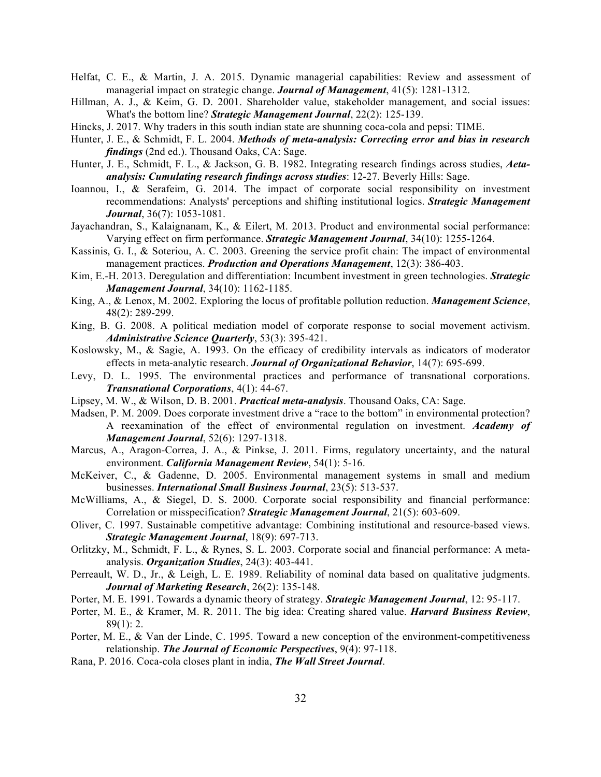- Helfat, C. E., & Martin, J. A. 2015. Dynamic managerial capabilities: Review and assessment of managerial impact on strategic change. *Journal of Management*, 41(5): 1281-1312.
- Hillman, A. J., & Keim, G. D. 2001. Shareholder value, stakeholder management, and social issues: What's the bottom line? *Strategic Management Journal*, 22(2): 125-139.
- Hincks, J. 2017. Why traders in this south indian state are shunning coca-cola and pepsi: TIME.
- Hunter, J. E., & Schmidt, F. L. 2004. *Methods of meta-analysis: Correcting error and bias in research findings* (2nd ed.). Thousand Oaks, CA: Sage.
- Hunter, J. E., Schmidt, F. L., & Jackson, G. B. 1982. Integrating research findings across studies, *Aetaanalysis: Cumulating research findings across studies*: 12-27. Beverly Hills: Sage.
- Ioannou, I., & Serafeim, G. 2014. The impact of corporate social responsibility on investment recommendations: Analysts' perceptions and shifting institutional logics. *Strategic Management Journal*, 36(7): 1053-1081.
- Jayachandran, S., Kalaignanam, K., & Eilert, M. 2013. Product and environmental social performance: Varying effect on firm performance. *Strategic Management Journal*, 34(10): 1255-1264.
- Kassinis, G. I., & Soteriou, A. C. 2003. Greening the service profit chain: The impact of environmental management practices. *Production and Operations Management*, 12(3): 386-403.
- Kim, E.-H. 2013. Deregulation and differentiation: Incumbent investment in green technologies. *Strategic Management Journal*, 34(10): 1162-1185.
- King, A., & Lenox, M. 2002. Exploring the locus of profitable pollution reduction. *Management Science*, 48(2): 289-299.
- King, B. G. 2008. A political mediation model of corporate response to social movement activism. *Administrative Science Quarterly*, 53(3): 395-421.
- Koslowsky, M., & Sagie, A. 1993. On the efficacy of credibility intervals as indicators of moderator effects in meta-analytic research. *Journal of Organizational Behavior*, 14(7): 695-699.
- Levy, D. L. 1995. The environmental practices and performance of transnational corporations. *Transnational Corporations*, 4(1): 44-67.
- Lipsey, M. W., & Wilson, D. B. 2001. *Practical meta-analysis*. Thousand Oaks, CA: Sage.
- Madsen, P. M. 2009. Does corporate investment drive a "race to the bottom" in environmental protection? A reexamination of the effect of environmental regulation on investment. *Academy of Management Journal*, 52(6): 1297-1318.
- Marcus, A., Aragon-Correa, J. A., & Pinkse, J. 2011. Firms, regulatory uncertainty, and the natural environment. *California Management Review*, 54(1): 5-16.
- McKeiver, C., & Gadenne, D. 2005. Environmental management systems in small and medium businesses. *International Small Business Journal*, 23(5): 513-537.
- McWilliams, A., & Siegel, D. S. 2000. Corporate social responsibility and financial performance: Correlation or misspecification? *Strategic Management Journal*, 21(5): 603-609.
- Oliver, C. 1997. Sustainable competitive advantage: Combining institutional and resource-based views. *Strategic Management Journal*, 18(9): 697-713.
- Orlitzky, M., Schmidt, F. L., & Rynes, S. L. 2003. Corporate social and financial performance: A metaanalysis. *Organization Studies*, 24(3): 403-441.
- Perreault, W. D., Jr., & Leigh, L. E. 1989. Reliability of nominal data based on qualitative judgments. *Journal of Marketing Research*, 26(2): 135-148.
- Porter, M. E. 1991. Towards a dynamic theory of strategy. *Strategic Management Journal*, 12: 95-117.
- Porter, M. E., & Kramer, M. R. 2011. The big idea: Creating shared value. *Harvard Business Review*, 89(1): 2.
- Porter, M. E., & Van der Linde, C. 1995. Toward a new conception of the environment-competitiveness relationship. *The Journal of Economic Perspectives*, 9(4): 97-118.
- Rana, P. 2016. Coca-cola closes plant in india, *The Wall Street Journal*.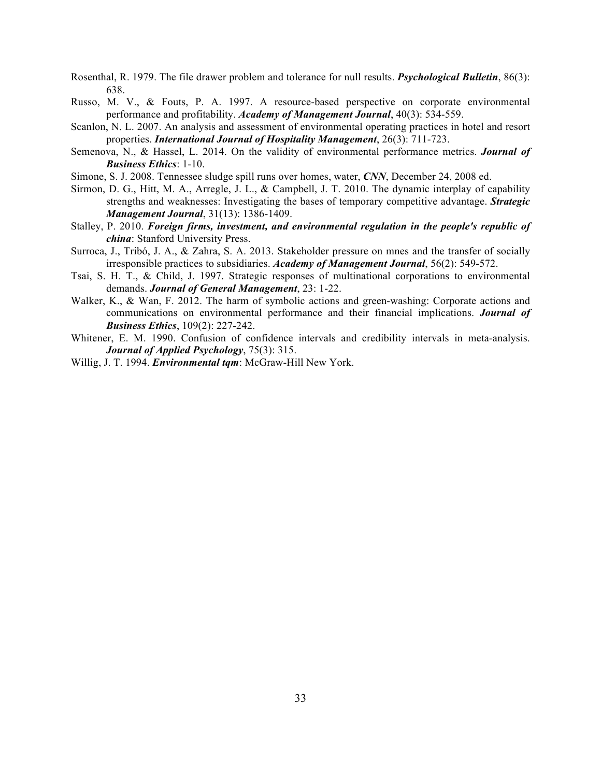- Rosenthal, R. 1979. The file drawer problem and tolerance for null results. *Psychological Bulletin*, 86(3): 638.
- Russo, M. V., & Fouts, P. A. 1997. A resource-based perspective on corporate environmental performance and profitability. *Academy of Management Journal*, 40(3): 534-559.
- Scanlon, N. L. 2007. An analysis and assessment of environmental operating practices in hotel and resort properties. *International Journal of Hospitality Management*, 26(3): 711-723.
- Semenova, N., & Hassel, L. 2014. On the validity of environmental performance metrics. *Journal of Business Ethics*: 1-10.
- Simone, S. J. 2008. Tennessee sludge spill runs over homes, water, *CNN*, December 24, 2008 ed.
- Sirmon, D. G., Hitt, M. A., Arregle, J. L., & Campbell, J. T. 2010. The dynamic interplay of capability strengths and weaknesses: Investigating the bases of temporary competitive advantage. *Strategic Management Journal*, 31(13): 1386-1409.
- Stalley, P. 2010. *Foreign firms, investment, and environmental regulation in the people's republic of china*: Stanford University Press.
- Surroca, J., Tribó, J. A., & Zahra, S. A. 2013. Stakeholder pressure on mnes and the transfer of socially irresponsible practices to subsidiaries. *Academy of Management Journal*, 56(2): 549-572.
- Tsai, S. H. T., & Child, J. 1997. Strategic responses of multinational corporations to environmental demands. *Journal of General Management*, 23: 1-22.
- Walker, K., & Wan, F. 2012. The harm of symbolic actions and green-washing: Corporate actions and communications on environmental performance and their financial implications. *Journal of Business Ethics*, 109(2): 227-242.
- Whitener, E. M. 1990. Confusion of confidence intervals and credibility intervals in meta-analysis. *Journal of Applied Psychology*, 75(3): 315.
- Willig, J. T. 1994. *Environmental tqm*: McGraw-Hill New York.